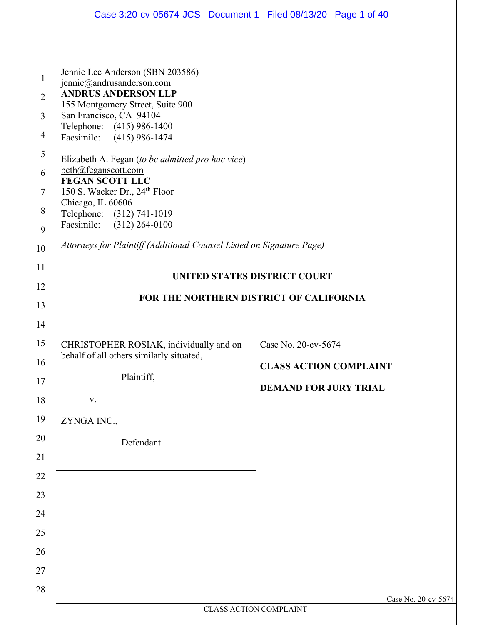|                                                                          | Case 3:20-cv-05674-JCS Document 1 Filed 08/13/20 Page 1 of 40                                                                                                                                                                                                                                                                                                                                                                                                   |                               |                     |  |
|--------------------------------------------------------------------------|-----------------------------------------------------------------------------------------------------------------------------------------------------------------------------------------------------------------------------------------------------------------------------------------------------------------------------------------------------------------------------------------------------------------------------------------------------------------|-------------------------------|---------------------|--|
| 1<br>$\overline{2}$<br>3<br>$\overline{4}$<br>5<br>6<br>$\tau$<br>8<br>9 | Jennie Lee Anderson (SBN 203586)<br>jennie@andrusanderson.com<br><b>ANDRUS ANDERSON LLP</b><br>155 Montgomery Street, Suite 900<br>San Francisco, CA 94104<br>Telephone: (415) 986-1400<br>$(415)$ 986-1474<br>Facsimile:<br>Elizabeth A. Fegan (to be admitted pro hac vice)<br>beth@feganscott.com<br><b>FEGAN SCOTT LLC</b><br>150 S. Wacker Dr., 24 <sup>th</sup> Floor<br>Chicago, IL 60606<br>Telephone: (312) 741-1019<br>Facsimile:<br>$(312)$ 264-0100 |                               |                     |  |
| 10                                                                       | Attorneys for Plaintiff (Additional Counsel Listed on Signature Page)                                                                                                                                                                                                                                                                                                                                                                                           |                               |                     |  |
| 11                                                                       | UNITED STATES DISTRICT COURT                                                                                                                                                                                                                                                                                                                                                                                                                                    |                               |                     |  |
| 12                                                                       | FOR THE NORTHERN DISTRICT OF CALIFORNIA                                                                                                                                                                                                                                                                                                                                                                                                                         |                               |                     |  |
| 13<br>14                                                                 |                                                                                                                                                                                                                                                                                                                                                                                                                                                                 |                               |                     |  |
| 15                                                                       | CHRISTOPHER ROSIAK, individually and on                                                                                                                                                                                                                                                                                                                                                                                                                         | Case No. 20-cv-5674           |                     |  |
| 16                                                                       | behalf of all others similarly situated,                                                                                                                                                                                                                                                                                                                                                                                                                        | <b>CLASS ACTION COMPLAINT</b> |                     |  |
| 17                                                                       | Plaintiff,                                                                                                                                                                                                                                                                                                                                                                                                                                                      | <b>DEMAND FOR JURY TRIAL</b>  |                     |  |
| 18                                                                       | V.                                                                                                                                                                                                                                                                                                                                                                                                                                                              |                               |                     |  |
| 19                                                                       | ZYNGA INC.,                                                                                                                                                                                                                                                                                                                                                                                                                                                     |                               |                     |  |
| 20                                                                       | Defendant.                                                                                                                                                                                                                                                                                                                                                                                                                                                      |                               |                     |  |
| 21                                                                       |                                                                                                                                                                                                                                                                                                                                                                                                                                                                 |                               |                     |  |
| 22                                                                       |                                                                                                                                                                                                                                                                                                                                                                                                                                                                 |                               |                     |  |
| 23                                                                       |                                                                                                                                                                                                                                                                                                                                                                                                                                                                 |                               |                     |  |
| 24                                                                       |                                                                                                                                                                                                                                                                                                                                                                                                                                                                 |                               |                     |  |
| 25                                                                       |                                                                                                                                                                                                                                                                                                                                                                                                                                                                 |                               |                     |  |
| 26<br>27                                                                 |                                                                                                                                                                                                                                                                                                                                                                                                                                                                 |                               |                     |  |
| 28                                                                       |                                                                                                                                                                                                                                                                                                                                                                                                                                                                 |                               |                     |  |
|                                                                          |                                                                                                                                                                                                                                                                                                                                                                                                                                                                 | <b>CLASS ACTION COMPLAINT</b> | Case No. 20-cv-5674 |  |
|                                                                          |                                                                                                                                                                                                                                                                                                                                                                                                                                                                 |                               |                     |  |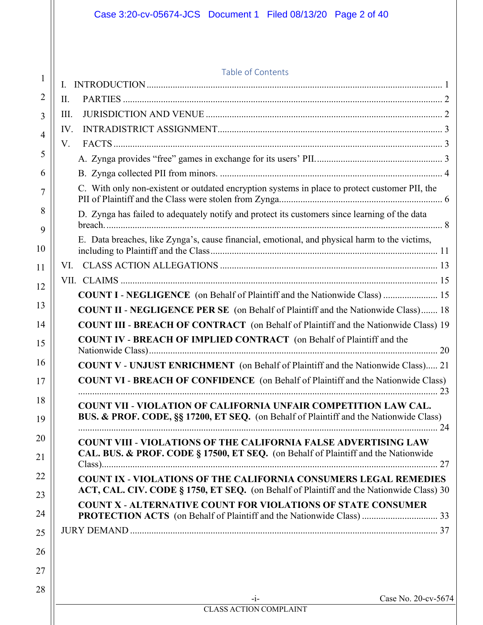|              | Table of Contents                                                                                                                                                |  |
|--------------|------------------------------------------------------------------------------------------------------------------------------------------------------------------|--|
| $\mathbf{I}$ |                                                                                                                                                                  |  |
| II.          |                                                                                                                                                                  |  |
| Ш.           |                                                                                                                                                                  |  |
| IV.          |                                                                                                                                                                  |  |
| V.           |                                                                                                                                                                  |  |
|              |                                                                                                                                                                  |  |
|              |                                                                                                                                                                  |  |
|              | C. With only non-existent or outdated encryption systems in place to protect customer PII, the                                                                   |  |
|              | D. Zynga has failed to adequately notify and protect its customers since learning of the data                                                                    |  |
|              | E. Data breaches, like Zynga's, cause financial, emotional, and physical harm to the victims,                                                                    |  |
|              |                                                                                                                                                                  |  |
|              |                                                                                                                                                                  |  |
|              | <b>COUNT I - NEGLIGENCE</b> (on Behalf of Plaintiff and the Nationwide Class)  15                                                                                |  |
|              | <b>COUNT II - NEGLIGENCE PER SE</b> (on Behalf of Plaintiff and the Nationwide Class) 18                                                                         |  |
|              | <b>COUNT III - BREACH OF CONTRACT</b> (on Behalf of Plaintiff and the Nationwide Class) 19                                                                       |  |
|              | <b>COUNT IV - BREACH OF IMPLIED CONTRACT</b> (on Behalf of Plaintiff and the                                                                                     |  |
|              | <b>COUNT V - UNJUST ENRICHMENT</b> (on Behalf of Plaintiff and the Nationwide Class) 21                                                                          |  |
|              | <b>COUNT VI - BREACH OF CONFIDENCE</b> (on Behalf of Plaintiff and the Nationwide Class)                                                                         |  |
|              | <b>COUNT VII - VIOLATION OF CALIFORNIA UNFAIR COMPETITION LAW CAL.</b><br>BUS. & PROF. CODE, §§ 17200, ET SEQ. (on Behalf of Plaintiff and the Nationwide Class) |  |
|              | <b>COUNT VIII - VIOLATIONS OF THE CALIFORNIA FALSE ADVERTISING LAW</b><br>CAL. BUS. & PROF. CODE § 17500, ET SEQ. (on Behalf of Plaintiff and the Nationwide     |  |
|              | <b>COUNT IX - VIOLATIONS OF THE CALIFORNIA CONSUMERS LEGAL REMEDIES</b>                                                                                          |  |
|              | ACT, CAL. CIV. CODE § 1750, ET SEQ. (on Behalf of Plaintiff and the Nationwide Class) 30                                                                         |  |
|              | <b>COUNT X - ALTERNATIVE COUNT FOR VIOLATIONS OF STATE CONSUMER</b>                                                                                              |  |
|              |                                                                                                                                                                  |  |
|              |                                                                                                                                                                  |  |
|              |                                                                                                                                                                  |  |
|              | Case No. 20-cv-5674<br>$-1-$                                                                                                                                     |  |
|              | <b>CLASS ACTION COMPLAINT</b>                                                                                                                                    |  |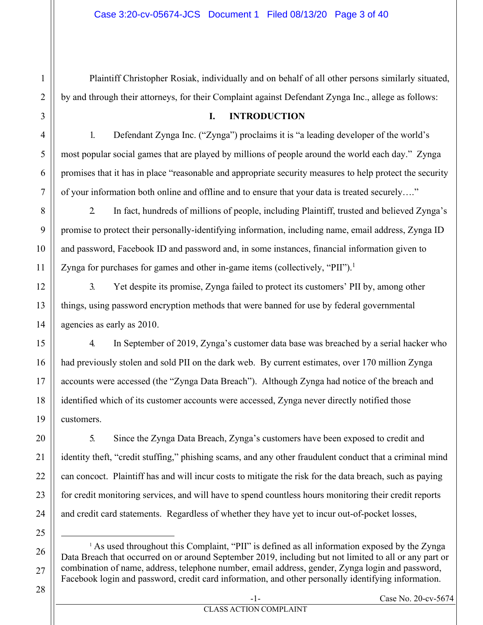Plaintiff Christopher Rosiak, individually and on behalf of all other persons similarly situated, by and through their attorneys, for their Complaint against Defendant Zynga Inc., allege as follows:

#### **I. INTRODUCTION**

1. Defendant Zynga Inc. ("Zynga") proclaims it is "a leading developer of the world's most popular social games that are played by millions of people around the world each day." Zynga promises that it has in place "reasonable and appropriate security measures to help protect the security of your information both online and offline and to ensure that your data is treated securely…."

2. In fact, hundreds of millions of people, including Plaintiff, trusted and believed Zynga's promise to protect their personally-identifying information, including name, email address, Zynga ID and password, Facebook ID and password and, in some instances, financial information given to Zynga for purchases for games and other in-game items (collectively, "PII").<sup>1</sup>

3. Yet despite its promise, Zynga failed to protect its customers' PII by, among other things, using password encryption methods that were banned for use by federal governmental agencies as early as 2010.

4. In September of 2019, Zynga's customer data base was breached by a serial hacker who had previously stolen and sold PII on the dark web. By current estimates, over 170 million Zynga accounts were accessed (the "Zynga Data Breach"). Although Zynga had notice of the breach and identified which of its customer accounts were accessed, Zynga never directly notified those customers.

5. Since the Zynga Data Breach, Zynga's customers have been exposed to credit and identity theft, "credit stuffing," phishing scams, and any other fraudulent conduct that a criminal mind can concoct. Plaintiff has and will incur costs to mitigate the risk for the data breach, such as paying for credit monitoring services, and will have to spend countless hours monitoring their credit reports and credit card statements. Regardless of whether they have yet to incur out-of-pocket losses,

25

26

27

1

2

3

4

5

6

7

8

9

10

11

12

13

14

15

16

17

18

19

20

21

22

23

24

<sup>1</sup> As used throughout this Complaint, "PII" is defined as all information exposed by the Zynga Data Breach that occurred on or around September 2019, including but not limited to all or any part or combination of name, address, telephone number, email address, gender, Zynga login and password, Facebook login and password, credit card information, and other personally identifying information.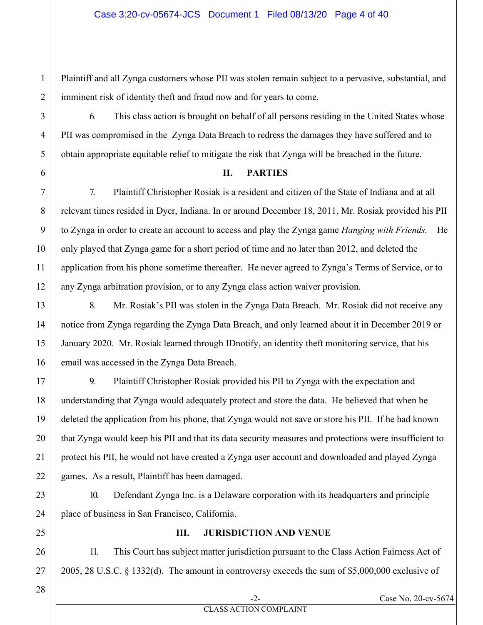Plaintiff and all Zynga customers whose PII was stolen remain subject to a pervasive, substantial, and imminent risk of identity theft and fraud now and for years to come.

6. This class action is brought on behalf of all persons residing in the United States whose PII was compromised in the Zynga Data Breach to redress the damages they have suffered and to obtain appropriate equitable relief to mitigate the risk that Zynga will be breached in the future.

#### **II. PARTIES**

7. Plaintiff Christopher Rosiak is a resident and citizen of the State of Indiana and at all relevant times resided in Dyer, Indiana. In or around December 18, 2011, Mr. Rosiak provided his PII to Zynga in order to create an account to access and play the Zynga game *Hanging with Friends.* He only played that Zynga game for a short period of time and no later than 2012, and deleted the application from his phone sometime thereafter. He never agreed to Zynga's Terms of Service, or to any Zynga arbitration provision, or to any Zynga class action waiver provision.

8. Mr. Rosiak's PII was stolen in the Zynga Data Breach. Mr. Rosiak did not receive any notice from Zynga regarding the Zynga Data Breach, and only learned about it in December 2019 or January 2020. Mr. Rosiak learned through IDnotify, an identity theft monitoring service, that his email was accessed in the Zynga Data Breach.

9. Plaintiff Christopher Rosiak provided his PII to Zynga with the expectation and understanding that Zynga would adequately protect and store the data. He believed that when he deleted the application from his phone, that Zynga would not save or store his PII. If he had known that Zynga would keep his PII and that its data security measures and protections were insufficient to protect his PII, he would not have created a Zynga user account and downloaded and played Zynga games. As a result, Plaintiff has been damaged.

10. Defendant Zynga Inc. is a Delaware corporation with its headquarters and principle place of business in San Francisco, California.

#### **III. JURISDICTION AND VENUE**

11. This Court has subject matter jurisdiction pursuant to the Class Action Fairness Act of 2005, 28 U.S.C. § 1332(d). The amount in controversy exceeds the sum of \$5,000,000 exclusive of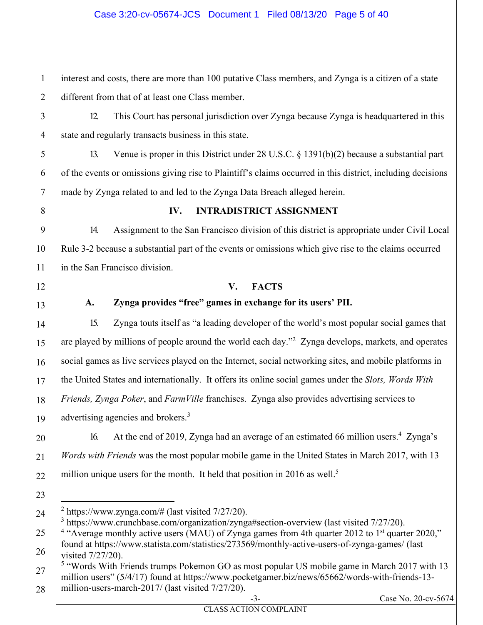#### Case 3:20-cv-05674-JCS Document 1 Filed 08/13/20 Page 5 of 40

interest and costs, there are more than 100 putative Class members, and Zynga is a citizen of a state different from that of at least one Class member.

12. This Court has personal jurisdiction over Zynga because Zynga is headquartered in this state and regularly transacts business in this state.

13. Venue is proper in this District under 28 U.S.C. § 1391(b)(2) because a substantial part of the events or omissions giving rise to Plaintiff's claims occurred in this district, including decisions made by Zynga related to and led to the Zynga Data Breach alleged herein.

#### **IV. INTRADISTRICT ASSIGNMENT**

14. Assignment to the San Francisco division of this district is appropriate under Civil Local Rule 3-2 because a substantial part of the events or omissions which give rise to the claims occurred in the San Francisco division.

#### **V. FACTS**

#### **A. Zynga provides "free" games in exchange for its users' PII.**

15. Zynga touts itself as "a leading developer of the world's most popular social games that are played by millions of people around the world each day."<sup>2</sup> Zynga develops, markets, and operates social games as live services played on the Internet, social networking sites, and mobile platforms in the United States and internationally. It offers its online social games under the *Slots, Words With Friends, Zynga Poker*, and *FarmVille* franchises. Zynga also provides advertising services to advertising agencies and brokers.<sup>3</sup>

16. At the end of 2019, Zynga had an average of an estimated 66 million users.<sup>4</sup> Zynga's *Words with Friends* was the most popular mobile game in the United States in March 2017, with 13 million unique users for the month. It held that position in 2016 as well.<sup>5</sup>

1

2

3

4

5

6

7

8

9

10

11

12

13

14

15

16

17

18

19

20

21

22

23

24

25

26

27

28

<sup>5</sup> "Words With Friends trumps Pokemon GO as most popular US mobile game in March 2017 with 13 million users" (5/4/17) found at https://www.pocketgamer.biz/news/65662/words-with-friends-13million-users-march-2017/ (last visited 7/27/20).

 $2$  https://www.zynga.com/# (last visited  $7/27/20$ ).

<sup>&</sup>lt;sup>3</sup> https://www.crunchbase.com/organization/zynga#section-overview (last visited 7/27/20).

<sup>&</sup>lt;sup>4</sup> "Average monthly active users (MAU) of Zynga games from 4th quarter 2012 to 1<sup>st</sup> quarter 2020," found at https://www.statista.com/statistics/273569/monthly-active-users-of-zynga-games/ (last visited 7/27/20).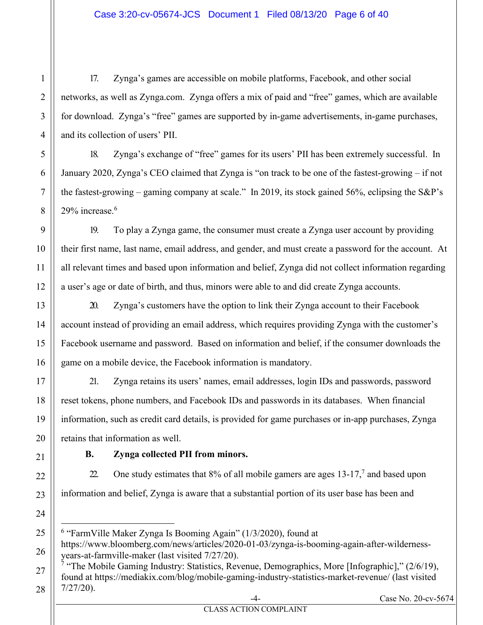#### Case 3:20-cv-05674-JCS Document 1 Filed 08/13/20 Page 6 of 40

17. Zynga's games are accessible on mobile platforms, Facebook, and other social networks, as well as Zynga.com. Zynga offers a mix of paid and "free" games, which are available for download. Zynga's "free" games are supported by in-game advertisements, in-game purchases, and its collection of users' PII.

18. Zynga's exchange of "free" games for its users' PII has been extremely successful. In January 2020, Zynga's CEO claimed that Zynga is "on track to be one of the fastest-growing – if not the fastest-growing – gaming company at scale." In 2019, its stock gained 56%, eclipsing the S&P's 29% increase.<sup>6</sup>

19. To play a Zynga game, the consumer must create a Zynga user account by providing their first name, last name, email address, and gender, and must create a password for the account. At all relevant times and based upon information and belief, Zynga did not collect information regarding a user's age or date of birth, and thus, minors were able to and did create Zynga accounts.

20. Zynga's customers have the option to link their Zynga account to their Facebook account instead of providing an email address, which requires providing Zynga with the customer's Facebook username and password. Based on information and belief, if the consumer downloads the game on a mobile device, the Facebook information is mandatory.

21. Zynga retains its users' names, email addresses, login IDs and passwords, password reset tokens, phone numbers, and Facebook IDs and passwords in its databases. When financial information, such as credit card details, is provided for game purchases or in-app purchases, Zynga retains that information as well.

#### **B. Zynga collected PII from minors.**

22. One study estimates that  $8\%$  of all mobile gamers are ages 13-17,<sup>7</sup> and based upon information and belief, Zynga is aware that a substantial portion of its user base has been and

<sup>&</sup>lt;sup>6</sup> "FarmVille Maker Zynga Is Booming Again" (1/3/2020), found at

https://www.bloomberg.com/news/articles/2020-01-03/zynga-is-booming-again-after-wildernessyears-at-farmville-maker (last visited 7/27/20).

<sup>&</sup>lt;sup>7</sup> "The Mobile Gaming Industry: Statistics, Revenue, Demographics, More [Infographic],"  $(2/6/19)$ , found at https://mediakix.com/blog/mobile-gaming-industry-statistics-market-revenue/ (last visited 7/27/20).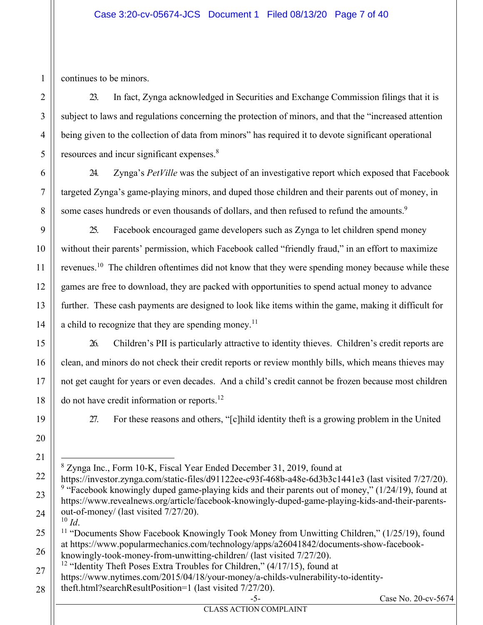#### Case 3:20-cv-05674-JCS Document 1 Filed 08/13/20 Page 7 of 40

continues to be minors.

1

2

3

4

23. In fact, Zynga acknowledged in Securities and Exchange Commission filings that it is subject to laws and regulations concerning the protection of minors, and that the "increased attention being given to the collection of data from minors" has required it to devote significant operational resources and incur significant expenses.<sup>8</sup>

24. Zynga's *PetVille* was the subject of an investigative report which exposed that Facebook targeted Zynga's game-playing minors, and duped those children and their parents out of money, in some cases hundreds or even thousands of dollars, and then refused to refund the amounts.<sup>9</sup>

25. Facebook encouraged game developers such as Zynga to let children spend money without their parents' permission, which Facebook called "friendly fraud," in an effort to maximize revenues.<sup>10</sup> The children oftentimes did not know that they were spending money because while these games are free to download, they are packed with opportunities to spend actual money to advance further. These cash payments are designed to look like items within the game, making it difficult for a child to recognize that they are spending money.<sup>11</sup>

26. Children's PII is particularly attractive to identity thieves. Children's credit reports are clean, and minors do not check their credit reports or review monthly bills, which means thieves may not get caught for years or even decades. And a child's credit cannot be frozen because most children do not have credit information or reports.<sup>12</sup>

27. For these reasons and others, "[c]hild identity theft is a growing problem in the United

8 Zynga Inc., Form 10-K, Fiscal Year Ended December 31, 2019, found at

knowingly-took-money-from-unwitting-children/ (last visited 7/27/20).

<sup>12</sup> "Identity Theft Poses Extra Troubles for Children," (4/17/15), found at https://www.nytimes.com/2015/04/18/your-money/a-childs-vulnerability-to-identitytheft.html?searchResultPosition=1 (last visited 7/27/20).

Case No. 20-cv-5674

https://investor.zynga.com/static-files/d91122ee-c93f-468b-a48e-6d3b3c1441e3 (last visited 7/27/20). <sup>9</sup> "Facebook knowingly duped game-playing kids and their parents out of money,"  $(1/24/19)$ , found at https://www.revealnews.org/article/facebook-knowingly-duped-game-playing-kids-and-their-parentsout-of-money/ (last visited  $7/27/20$ ).<br><sup>10</sup> *Id*.

<sup>&</sup>lt;sup>11</sup> "Documents Show Facebook Knowingly Took Money from Unwitting Children," (1/25/19), found at https://www.popularmechanics.com/technology/apps/a26041842/documents-show-facebook-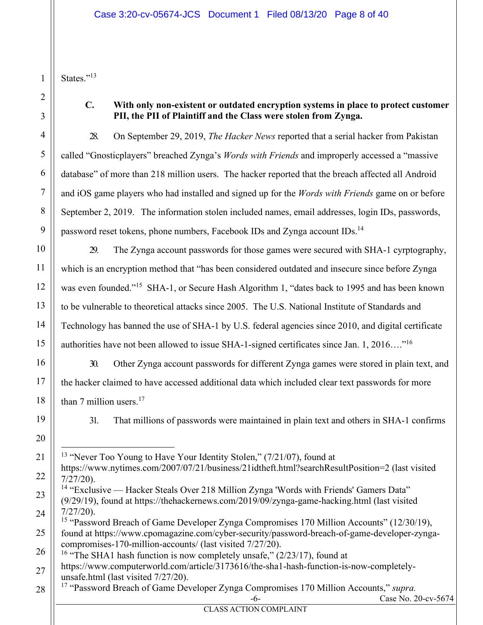States."<sup>13</sup>

1

2

3

4

5

6

7

8

9

10

11

12

13

14

15

16

17

18

19

20

21

#### **C. With only non-existent or outdated encryption systems in place to protect customer PII, the PII of Plaintiff and the Class were stolen from Zynga.**

28. On September 29, 2019, *The Hacker News* reported that a serial hacker from Pakistan called "Gnosticplayers" breached Zynga's *Words with Friends* and improperly accessed a "massive database" of more than 218 million users. The hacker reported that the breach affected all Android and iOS game players who had installed and signed up for the *Words with Friends* game on or before September 2, 2019. The information stolen included names, email addresses, login IDs, passwords, password reset tokens, phone numbers, Facebook IDs and Zynga account IDs.<sup>14</sup>

29. The Zynga account passwords for those games were secured with SHA-1 cyrptography, which is an encryption method that "has been considered outdated and insecure since before Zynga was even founded."<sup>15</sup> SHA-1, or Secure Hash Algorithm 1, "dates back to 1995 and has been known to be vulnerable to theoretical attacks since 2005. The U.S. National Institute of Standards and Technology has banned the use of SHA-1 by U.S. federal agencies since 2010, and digital certificate authorities have not been allowed to issue SHA-1-signed certificates since Jan. 1, 2016…."16

30. Other Zynga account passwords for different Zynga games were stored in plain text, and the hacker claimed to have accessed additional data which included clear text passwords for more than 7 million users. $17$ 

31. That millions of passwords were maintained in plain text and others in SHA-1 confirms

<sup>13</sup> "Never Too Young to Have Your Identity Stolen,"  $(7/21/07)$ , found at

<sup>22</sup> https://www.nytimes.com/2007/07/21/business/21idtheft.html?searchResultPosition=2 (last visited 7/27/20).

<sup>23</sup> 24 <sup>14</sup> "Exclusive — Hacker Steals Over 218 Million Zynga 'Words with Friends' Gamers Data" (9/29/19), found at https://thehackernews.com/2019/09/zynga-game-hacking.html (last visited 7/27/20).

<sup>25</sup> <sup>15</sup> "Password Breach of Game Developer Zynga Compromises 170 Million Accounts" (12/30/19), found at https://www.cpomagazine.com/cyber-security/password-breach-of-game-developer-zyngacompromises-170-million-accounts/ (last visited 7/27/20).

<sup>26</sup> <sup>16</sup> "The SHA1 hash function is now completely unsafe,"  $(2/23/17)$ , found at

<sup>27</sup> https://www.computerworld.com/article/3173616/the-sha1-hash-function-is-now-completelyunsafe.html (last visited 7/27/20).

<sup>28</sup> 17 "Password Breach of Game Developer Zynga Compromises 170 Million Accounts," *supra.*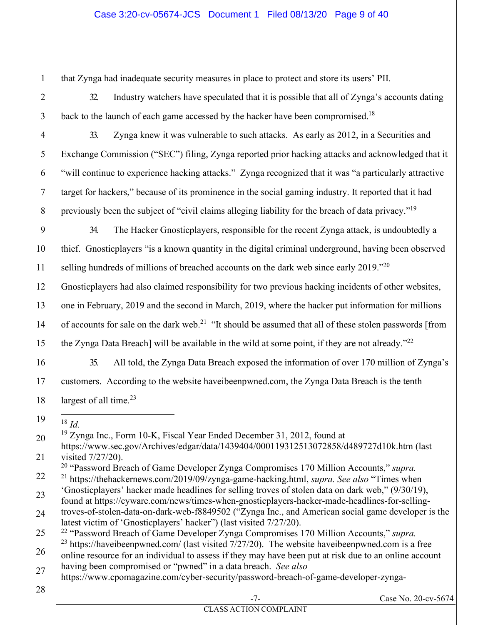that Zynga had inadequate security measures in place to protect and store its users' PII.

32. Industry watchers have speculated that it is possible that all of Zynga's accounts dating back to the launch of each game accessed by the hacker have been compromised.<sup>18</sup>

33. Zynga knew it was vulnerable to such attacks. As early as 2012, in a Securities and Exchange Commission ("SEC") filing, Zynga reported prior hacking attacks and acknowledged that it "will continue to experience hacking attacks." Zynga recognized that it was "a particularly attractive target for hackers," because of its prominence in the social gaming industry. It reported that it had previously been the subject of "civil claims alleging liability for the breach of data privacy."<sup>19</sup>

34. The Hacker Gnosticplayers, responsible for the recent Zynga attack, is undoubtedly a thief. Gnosticplayers "is a known quantity in the digital criminal underground, having been observed selling hundreds of millions of breached accounts on the dark web since early 2019."<sup>20</sup>

Gnosticplayers had also claimed responsibility for two previous hacking incidents of other websites, one in February, 2019 and the second in March, 2019, where the hacker put information for millions of accounts for sale on the dark web.<sup>21</sup> "It should be assumed that all of these stolen passwords [from the Zynga Data Breach] will be available in the wild at some point, if they are not already."<sup>22</sup>

35. All told, the Zynga Data Breach exposed the information of over 170 million of Zynga's customers. According to the website haveibeenpwned.com, the Zynga Data Breach is the tenth largest of all time.<sup>23</sup>

<sup>18</sup> *Id.* 

1

2

3

4

5

6

7

8

9

10

11

12

13

14

15

16

17

18

19

19 Zynga Inc., Form 10-K, Fiscal Year Ended December 31, 2012, found at

20 21 https://www.sec.gov/Archives/edgar/data/1439404/000119312513072858/d489727d10k.htm (last visited 7/27/20).

22 20 "Password Breach of Game Developer Zynga Compromises 170 Million Accounts," *supra.* 21 https://thehackernews.com/2019/09/zynga-game-hacking.html, *supra. See also* "Times when

23 'Gnosticplayers' hacker made headlines for selling troves of stolen data on dark web," (9/30/19), found at https://cyware.com/news/times-when-gnosticplayers-hacker-made-headlines-for-selling-

22 "Password Breach of Game Developer Zynga Compromises 170 Million Accounts," *supra.*

- 26 27  $^{23}$  https://haveibeenpwned.com/ (last visited  $7/27/20$ ). The website haveibeenpwned.com is a free online resource for an individual to assess if they may have been put at risk due to an online account having been compromised or "pwned" in a data breach. *See also* 
	- https://www.cpomagazine.com/cyber-security/password-breach-of-game-developer-zynga-
- 28

<sup>24</sup> 25 troves-of-stolen-data-on-dark-web-f8849502 ("Zynga Inc., and American social game developer is the latest victim of 'Gnosticplayers' hacker") (last visited 7/27/20).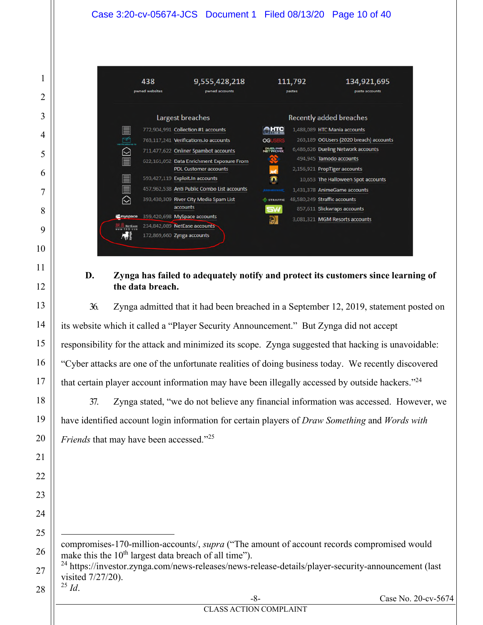

#### **D. Zynga has failed to adequately notify and protect its customers since learning of the data breach.**

36. Zynga admitted that it had been breached in a September 12, 2019, statement posted on its website which it called a "Player Security Announcement." But Zynga did not accept responsibility for the attack and minimized its scope. Zynga suggested that hacking is unavoidable: "Cyber attacks are one of the unfortunate realities of doing business today. We recently discovered that certain player account information may have been illegally accessed by outside hackers."<sup>24</sup>

37. Zynga stated, "we do not believe any financial information was accessed. However, we have identified account login information for certain players of *Draw Something* and *Words with Friends* that may have been accessed."<sup>25</sup>

- compromises-170-million-accounts/, *supra* ("The amount of account records compromised would make this the  $10<sup>th</sup>$  largest data breach of all time").
	- <sup>24</sup> https://investor.zynga.com/news-releases/news-release-details/player-security-announcement (last visited 7/27/20).  $^{25}$  *Id*.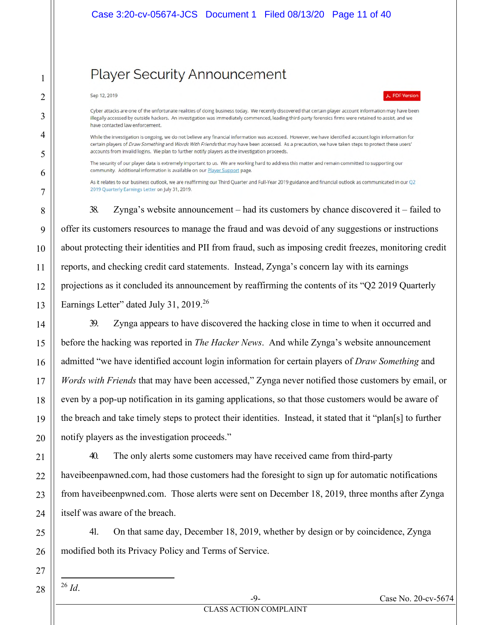## **Player Security Announcement**

#### Sep 12, 2019

1

2

3

4

5

6

7

8

9

10

11

12

13

14

15

16

17

18

19

20

21

22

23

24

25

26

27

PDF Version

Cyber attacks are one of the unfortunate realities of doing business today. We recently discovered that certain player account information may have been illegally accessed by outside hackers. An investigation was immediately commenced, leading third-party forensics firms were retained to assist, and we have contacted law enforcement.

While the investigation is ongoing, we do not believe any financial information was accessed. However, we have identified account login information for certain players of Draw Something and Words With Friends that may have been accessed. As a precaution, we have taken steps to protect these users' accounts from invalid logins. We plan to further notify players as the investigation proceeds.

The security of our player data is extremely important to us. We are working hard to address this matter and remain committed to supporting our community. Additional information is available on our **Player Support** page.

As it relates to our business outlook, we are reaffirming our Third Quarter and Full-Year 2019 guidance and financial outlook as communicated in our Q2 2019 Quarterly Earnings Letter on July 31, 2019.

38. Zynga's website announcement – had its customers by chance discovered it – failed to offer its customers resources to manage the fraud and was devoid of any suggestions or instructions about protecting their identities and PII from fraud, such as imposing credit freezes, monitoring credit reports, and checking credit card statements. Instead, Zynga's concern lay with its earnings projections as it concluded its announcement by reaffirming the contents of its "Q2 2019 Quarterly Earnings Letter" dated July 31, 2019.<sup>26</sup>

39. Zynga appears to have discovered the hacking close in time to when it occurred and before the hacking was reported in *The Hacker News*. And while Zynga's website announcement admitted "we have identified account login information for certain players of *Draw Something* and *Words with Friends* that may have been accessed," Zynga never notified those customers by email, or even by a pop-up notification in its gaming applications, so that those customers would be aware of the breach and take timely steps to protect their identities. Instead, it stated that it "plan[s] to further notify players as the investigation proceeds."

40. The only alerts some customers may have received came from third-party haveibeenpawned.com, had those customers had the foresight to sign up for automatic notifications from haveibeenpwned.com. Those alerts were sent on December 18, 2019, three months after Zynga itself was aware of the breach.

41. On that same day, December 18, 2019, whether by design or by coincidence, Zynga modified both its Privacy Policy and Terms of Service.

<sup>26</sup> *Id*.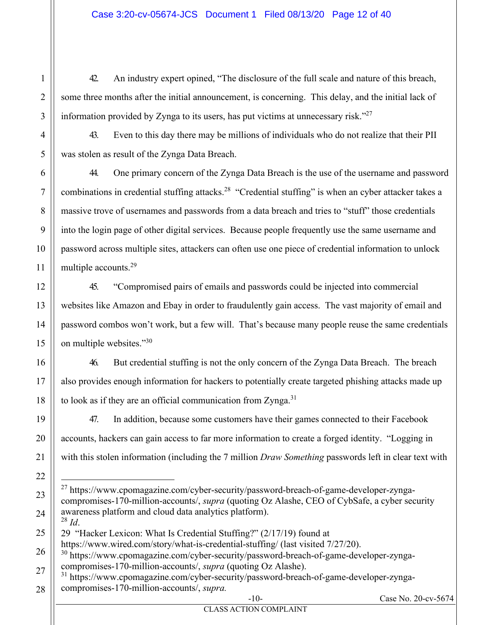42. An industry expert opined, "The disclosure of the full scale and nature of this breach, some three months after the initial announcement, is concerning. This delay, and the initial lack of information provided by Zynga to its users, has put victims at unnecessary risk."27

43. Even to this day there may be millions of individuals who do not realize that their PII was stolen as result of the Zynga Data Breach.

44. One primary concern of the Zynga Data Breach is the use of the username and password combinations in credential stuffing attacks.<sup>28</sup> "Credential stuffing" is when an cyber attacker takes a massive trove of usernames and passwords from a data breach and tries to "stuff" those credentials into the login page of other digital services. Because people frequently use the same username and password across multiple sites, attackers can often use one piece of credential information to unlock multiple accounts.<sup>29</sup>

45. "Compromised pairs of emails and passwords could be injected into commercial websites like Amazon and Ebay in order to fraudulently gain access. The vast majority of email and password combos won't work, but a few will. That's because many people reuse the same credentials on multiple websites."30

46. But credential stuffing is not the only concern of the Zynga Data Breach. The breach also provides enough information for hackers to potentially create targeted phishing attacks made up to look as if they are an official communication from Zynga. $31$ 

47. In addition, because some customers have their games connected to their Facebook accounts, hackers can gain access to far more information to create a forged identity. "Logging in with this stolen information (including the 7 million *Draw Something* passwords left in clear text with

 $^{27}$  https://www.cpomagazine.com/cyber-security/password-breach-of-game-developer-zyngacompromises-170-million-accounts/, *supra* (quoting Oz Alashe, CEO of CybSafe, a cyber security awareness platform and cloud data analytics platform). <sup>28</sup> *Id*.

29 "Hacker Lexicon: What Is Credential Stuffing?" (2/17/19) found at https://www.wired.com/story/what-is-credential-stuffing/ (last visited 7/27/20).

30 https://www.cpomagazine.com/cyber-security/password-breach-of-game-developer-zyngacompromises-170-million-accounts/, *supra* (quoting Oz Alashe).

https://www.cpomagazine.com/cyber-security/password-breach-of-game-developer-zyngacompromises-170-million-accounts/, *supra.* 

1

2

3

CLASS ACTION COMPLAINT

-10- Case No. 20-cv-5674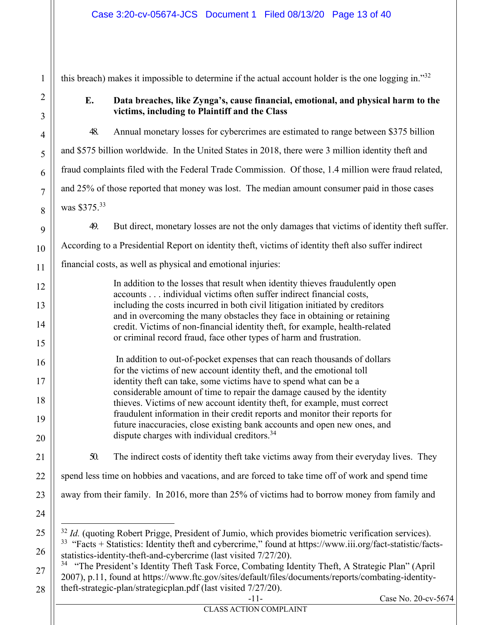this breach) makes it impossible to determine if the actual account holder is the one logging in."32

1

2

3

4

5

6

7

8

9

10

11

12

13

14

15

16

17

18

19

20

21

22

23

24

25

27

28

#### **E. Data breaches, like Zynga's, cause financial, emotional, and physical harm to the victims, including to Plaintiff and the Class**

48. Annual monetary losses for cybercrimes are estimated to range between \$375 billion and \$575 billion worldwide. In the United States in 2018, there were 3 million identity theft and fraud complaints filed with the Federal Trade Commission. Of those, 1.4 million were fraud related, and 25% of those reported that money was lost. The median amount consumer paid in those cases was \$375.<sup>33</sup>

49. But direct, monetary losses are not the only damages that victims of identity theft suffer.

According to a Presidential Report on identity theft, victims of identity theft also suffer indirect

financial costs, as well as physical and emotional injuries:

In addition to the losses that result when identity thieves fraudulently open accounts . . . individual victims often suffer indirect financial costs, including the costs incurred in both civil litigation initiated by creditors and in overcoming the many obstacles they face in obtaining or retaining credit. Victims of non-financial identity theft, for example, health-related or criminal record fraud, face other types of harm and frustration.

 In addition to out-of-pocket expenses that can reach thousands of dollars for the victims of new account identity theft, and the emotional toll identity theft can take, some victims have to spend what can be a considerable amount of time to repair the damage caused by the identity thieves. Victims of new account identity theft, for example, must correct fraudulent information in their credit reports and monitor their reports for future inaccuracies, close existing bank accounts and open new ones, and dispute charges with individual creditors.<sup>34</sup>

50. The indirect costs of identity theft take victims away from their everyday lives. They

spend less time on hobbies and vacations, and are forced to take time off of work and spend time

- away from their family. In 2016, more than 25% of victims had to borrow money from family and
- <sup>32</sup> *Id.* (quoting Robert Prigge, President of Jumio, which provides biometric verification services). <sup>33</sup> "Facts + Statistics: Identity theft and cybercrime," found at https://www.iii.org/fact-statistic/facts-

26 statistics-identity-theft-and-cybercrime (last visited 7/27/20).

<sup>34</sup> "The President's Identity Theft Task Force, Combating Identity Theft, A Strategic Plan" (April 2007), p.11, found at https://www.ftc.gov/sites/default/files/documents/reports/combating-identitytheft-strategic-plan/strategicplan.pdf (last visited 7/27/20).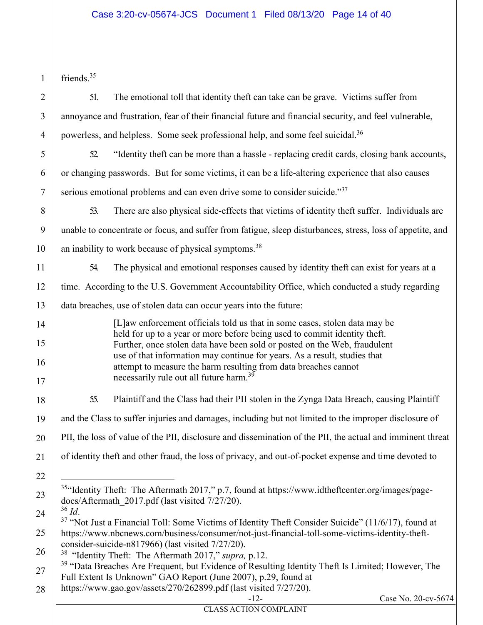friends.<sup>35</sup>

51. The emotional toll that identity theft can take can be grave. Victims suffer from annoyance and frustration, fear of their financial future and financial security, and feel vulnerable, powerless, and helpless. Some seek professional help, and some feel suicidal.<sup>36</sup>

52. "Identity theft can be more than a hassle - replacing credit cards, closing bank accounts, or changing passwords. But for some victims, it can be a life-altering experience that also causes serious emotional problems and can even drive some to consider suicide."<sup>37</sup>

53. There are also physical side-effects that victims of identity theft suffer. Individuals are unable to concentrate or focus, and suffer from fatigue, sleep disturbances, stress, loss of appetite, and an inability to work because of physical symptoms.<sup>38</sup>

54. The physical and emotional responses caused by identity theft can exist for years at a time. According to the U.S. Government Accountability Office, which conducted a study regarding data breaches, use of stolen data can occur years into the future:

> [L]aw enforcement officials told us that in some cases, stolen data may be held for up to a year or more before being used to commit identity theft. Further, once stolen data have been sold or posted on the Web, fraudulent use of that information may continue for years. As a result, studies that attempt to measure the harm resulting from data breaches cannot necessarily rule out all future harm.<sup>39</sup>

55. Plaintiff and the Class had their PII stolen in the Zynga Data Breach, causing Plaintiff and the Class to suffer injuries and damages, including but not limited to the improper disclosure of PII, the loss of value of the PII, disclosure and dissemination of the PII, the actual and imminent threat of identity theft and other fraud, the loss of privacy, and out-of-pocket expense and time devoted to

- <sup>35</sup>"Identity Theft: The Aftermath 2017," p.7, found at https://www.idtheftcenter.org/images/pagedocs/Aftermath\_2017.pdf (last visited 7/27/20).
- 

<sup>36</sup> *Id.*<br><sup>37</sup> "Not Just a Financial Toll: Some Victims of Identity Theft Consider Suicide" (11/6/17), found at https://www.nbcnews.com/business/consumer/not-just-financial-toll-some-victims-identity-theftconsider-suicide-n817966) (last visited 7/27/20).

38 "Identity Theft: The Aftermath 2017," *supra,* p.12.

- <sup>39</sup> "Data Breaches Are Frequent, but Evidence of Resulting Identity Theft Is Limited; However, The Full Extent Is Unknown" GAO Report (June 2007), p.29, found at
- 28 https://www.gao.gov/assets/270/262899.pdf (last visited 7/27/20).

-12- Case No. 20-cv-5674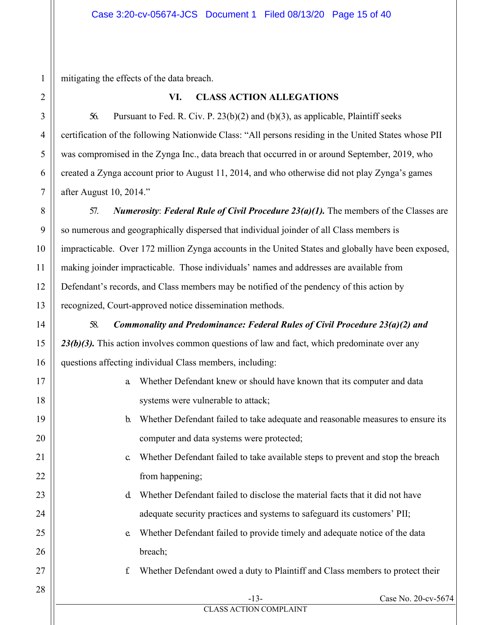mitigating the effects of the data breach.

### **VI. CLASS ACTION ALLEGATIONS**

56. Pursuant to Fed. R. Civ. P. 23(b)(2) and (b)(3), as applicable, Plaintiff seeks certification of the following Nationwide Class: "All persons residing in the United States whose PII was compromised in the Zynga Inc., data breach that occurred in or around September, 2019, who created a Zynga account prior to August 11, 2014, and who otherwise did not play Zynga's games after August 10, 2014."

57. *Numerosity*: *Federal Rule of Civil Procedure 23(a)(1).* The members of the Classes are so numerous and geographically dispersed that individual joinder of all Class members is impracticable. Over 172 million Zynga accounts in the United States and globally have been exposed, making joinder impracticable. Those individuals' names and addresses are available from Defendant's records, and Class members may be notified of the pendency of this action by recognized, Court-approved notice dissemination methods.

58. *Commonality and Predominance: Federal Rules of Civil Procedure 23(a)(2) and*  23(b)(3). This action involves common questions of law and fact, which predominate over any questions affecting individual Class members, including:

- a. Whether Defendant knew or should have known that its computer and data systems were vulnerable to attack;
- b. Whether Defendant failed to take adequate and reasonable measures to ensure its computer and data systems were protected;
- c. Whether Defendant failed to take available steps to prevent and stop the breach from happening;
- d. Whether Defendant failed to disclose the material facts that it did not have adequate security practices and systems to safeguard its customers' PII;
- e. Whether Defendant failed to provide timely and adequate notice of the data breach;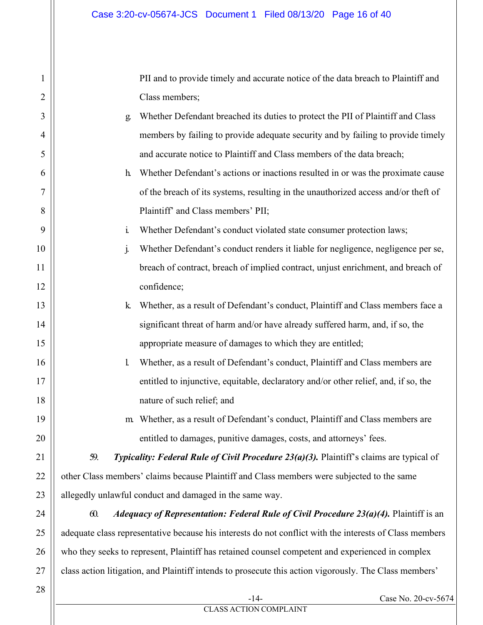PII and to provide timely and accurate notice of the data breach to Plaintiff and Class members;

- g. Whether Defendant breached its duties to protect the PII of Plaintiff and Class members by failing to provide adequate security and by failing to provide timely and accurate notice to Plaintiff and Class members of the data breach;
	- h. Whether Defendant's actions or inactions resulted in or was the proximate cause of the breach of its systems, resulting in the unauthorized access and/or theft of Plaintiff' and Class members' PII;
	- i. Whether Defendant's conduct violated state consumer protection laws;
- j. Whether Defendant's conduct renders it liable for negligence, negligence per se, breach of contract, breach of implied contract, unjust enrichment, and breach of confidence;
	- k. Whether, as a result of Defendant's conduct, Plaintiff and Class members face a significant threat of harm and/or have already suffered harm, and, if so, the appropriate measure of damages to which they are entitled;
		- l. Whether, as a result of Defendant's conduct, Plaintiff and Class members are entitled to injunctive, equitable, declaratory and/or other relief, and, if so, the nature of such relief; and
		- m. Whether, as a result of Defendant's conduct, Plaintiff and Class members are entitled to damages, punitive damages, costs, and attorneys' fees.

59. *Typicality: Federal Rule of Civil Procedure 23(a)(3).* Plaintiff's claims are typical of other Class members' claims because Plaintiff and Class members were subjected to the same allegedly unlawful conduct and damaged in the same way.

60. *Adequacy of Representation: Federal Rule of Civil Procedure 23(a)(4).* Plaintiff is an adequate class representative because his interests do not conflict with the interests of Class members who they seeks to represent, Plaintiff has retained counsel competent and experienced in complex class action litigation, and Plaintiff intends to prosecute this action vigorously. The Class members'

1

2

3

4

5

6

7

8

9

10

11

12

13

14

15

16

17

18

19

20

21

22

23

24

25

26

27

Case No. 20-cv-5674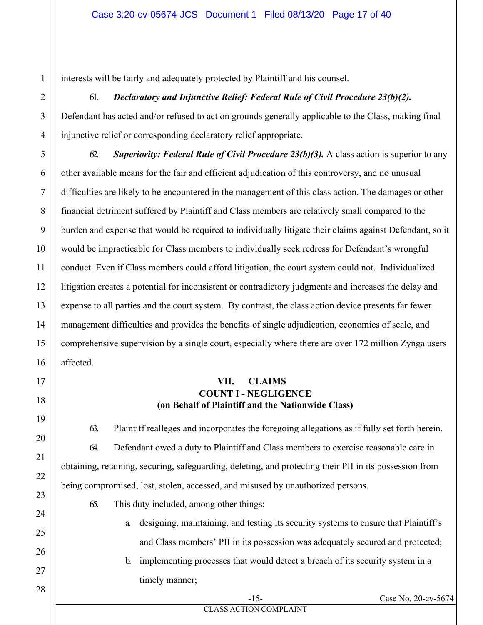interests will be fairly and adequately protected by Plaintiff and his counsel.

#### 61. *Declaratory and Injunctive Relief: Federal Rule of Civil Procedure 23(b)(2).*

Defendant has acted and/or refused to act on grounds generally applicable to the Class, making final injunctive relief or corresponding declaratory relief appropriate.

62. *Superiority: Federal Rule of Civil Procedure 23(b)(3).* A class action is superior to any other available means for the fair and efficient adjudication of this controversy, and no unusual difficulties are likely to be encountered in the management of this class action. The damages or other financial detriment suffered by Plaintiff and Class members are relatively small compared to the burden and expense that would be required to individually litigate their claims against Defendant, so it would be impracticable for Class members to individually seek redress for Defendant's wrongful conduct. Even if Class members could afford litigation, the court system could not. Individualized litigation creates a potential for inconsistent or contradictory judgments and increases the delay and expense to all parties and the court system. By contrast, the class action device presents far fewer management difficulties and provides the benefits of single adjudication, economies of scale, and comprehensive supervision by a single court, especially where there are over 172 million Zynga users affected.

#### **VII. CLAIMS COUNT I - NEGLIGENCE (on Behalf of Plaintiff and the Nationwide Class)**

63. Plaintiff realleges and incorporates the foregoing allegations as if fully set forth herein. 64. Defendant owed a duty to Plaintiff and Class members to exercise reasonable care in obtaining, retaining, securing, safeguarding, deleting, and protecting their PII in its possession from being compromised, lost, stolen, accessed, and misused by unauthorized persons.

- 65. This duty included, among other things:
	- a. designing, maintaining, and testing its security systems to ensure that Plaintiff's and Class members' PII in its possession was adequately secured and protected;
	- b. implementing processes that would detect a breach of its security system in a timely manner;

-15- Case No. 20-cv-5674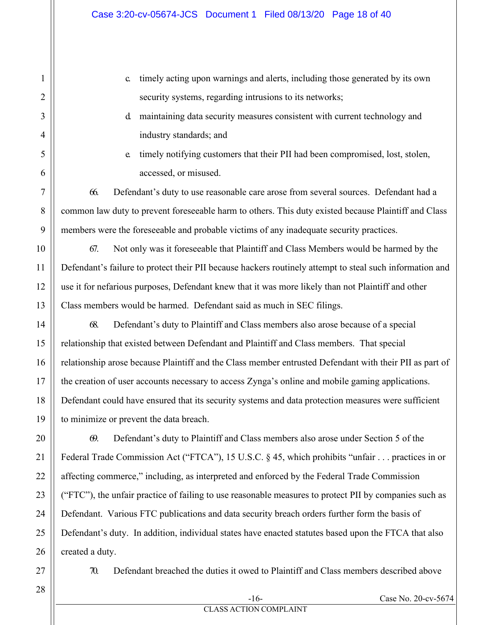- c. timely acting upon warnings and alerts, including those generated by its own security systems, regarding intrusions to its networks;
- d. maintaining data security measures consistent with current technology and industry standards; and
- e. timely notifying customers that their PII had been compromised, lost, stolen, accessed, or misused.

66. Defendant's duty to use reasonable care arose from several sources. Defendant had a common law duty to prevent foreseeable harm to others. This duty existed because Plaintiff and Class members were the foreseeable and probable victims of any inadequate security practices.

67. Not only was it foreseeable that Plaintiff and Class Members would be harmed by the Defendant's failure to protect their PII because hackers routinely attempt to steal such information and use it for nefarious purposes, Defendant knew that it was more likely than not Plaintiff and other Class members would be harmed. Defendant said as much in SEC filings.

68. Defendant's duty to Plaintiff and Class members also arose because of a special relationship that existed between Defendant and Plaintiff and Class members. That special relationship arose because Plaintiff and the Class member entrusted Defendant with their PII as part of the creation of user accounts necessary to access Zynga's online and mobile gaming applications. Defendant could have ensured that its security systems and data protection measures were sufficient to minimize or prevent the data breach.

69. Defendant's duty to Plaintiff and Class members also arose under Section 5 of the Federal Trade Commission Act ("FTCA"), 15 U.S.C. § 45, which prohibits "unfair . . . practices in or affecting commerce," including, as interpreted and enforced by the Federal Trade Commission ("FTC"), the unfair practice of failing to use reasonable measures to protect PII by companies such as Defendant. Various FTC publications and data security breach orders further form the basis of Defendant's duty. In addition, individual states have enacted statutes based upon the FTCA that also created a duty.

70. Defendant breached the duties it owed to Plaintiff and Class members described above

28

1

2

3

4

5

6

7

8

9

10

11

12

13

14

15

16

17

18

19

20

21

22

23

24

25

26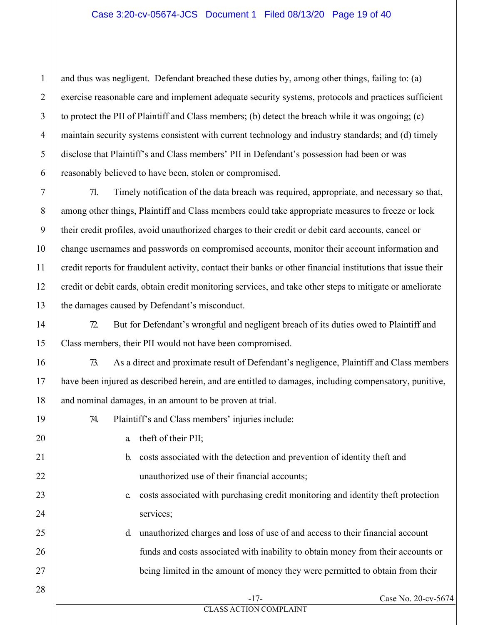#### Case 3:20-cv-05674-JCS Document 1 Filed 08/13/20 Page 19 of 40

and thus was negligent. Defendant breached these duties by, among other things, failing to: (a) exercise reasonable care and implement adequate security systems, protocols and practices sufficient to protect the PII of Plaintiff and Class members; (b) detect the breach while it was ongoing; (c) maintain security systems consistent with current technology and industry standards; and (d) timely disclose that Plaintiff's and Class members' PII in Defendant's possession had been or was reasonably believed to have been, stolen or compromised.

71. Timely notification of the data breach was required, appropriate, and necessary so that, among other things, Plaintiff and Class members could take appropriate measures to freeze or lock their credit profiles, avoid unauthorized charges to their credit or debit card accounts, cancel or change usernames and passwords on compromised accounts, monitor their account information and credit reports for fraudulent activity, contact their banks or other financial institutions that issue their credit or debit cards, obtain credit monitoring services, and take other steps to mitigate or ameliorate the damages caused by Defendant's misconduct.

72. But for Defendant's wrongful and negligent breach of its duties owed to Plaintiff and Class members, their PII would not have been compromised.

73. As a direct and proximate result of Defendant's negligence, Plaintiff and Class members have been injured as described herein, and are entitled to damages, including compensatory, punitive, and nominal damages, in an amount to be proven at trial.

- 74. Plaintiff's and Class members' injuries include:
	- a. theft of their PII;
	- b. costs associated with the detection and prevention of identity theft and unauthorized use of their financial accounts;
	- c. costs associated with purchasing credit monitoring and identity theft protection services;
	- d. unauthorized charges and loss of use of and access to their financial account funds and costs associated with inability to obtain money from their accounts or being limited in the amount of money they were permitted to obtain from their

1

2

3

4

5

6

7

8

9

-17- Case No. 20-cv-5674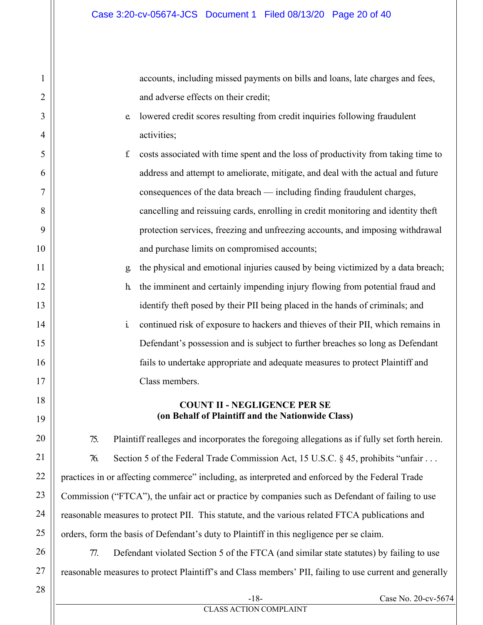accounts, including missed payments on bills and loans, late charges and fees, and adverse effects on their credit;

- e. lowered credit scores resulting from credit inquiries following fraudulent activities;
- f. costs associated with time spent and the loss of productivity from taking time to address and attempt to ameliorate, mitigate, and deal with the actual and future consequences of the data breach — including finding fraudulent charges, cancelling and reissuing cards, enrolling in credit monitoring and identity theft protection services, freezing and unfreezing accounts, and imposing withdrawal and purchase limits on compromised accounts;
	- g. the physical and emotional injuries caused by being victimized by a data breach;
	- h. the imminent and certainly impending injury flowing from potential fraud and identify theft posed by their PII being placed in the hands of criminals; and
	- i. continued risk of exposure to hackers and thieves of their PII, which remains in Defendant's possession and is subject to further breaches so long as Defendant fails to undertake appropriate and adequate measures to protect Plaintiff and Class members.

#### **COUNT II - NEGLIGENCE PER SE (on Behalf of Plaintiff and the Nationwide Class)**

75. Plaintiff realleges and incorporates the foregoing allegations as if fully set forth herein. 76. Section 5 of the Federal Trade Commission Act, 15 U.S.C. § 45, prohibits "unfair . . . practices in or affecting commerce" including, as interpreted and enforced by the Federal Trade Commission ("FTCA"), the unfair act or practice by companies such as Defendant of failing to use reasonable measures to protect PII. This statute, and the various related FTCA publications and orders, form the basis of Defendant's duty to Plaintiff in this negligence per se claim.

77. Defendant violated Section 5 of the FTCA (and similar state statutes) by failing to use reasonable measures to protect Plaintiff's and Class members' PII, failing to use current and generally

27 28

1

2

3

4

5

6

7

8

9

10

11

12

13

14

15

16

17

18

19

20

21

22

23

24

25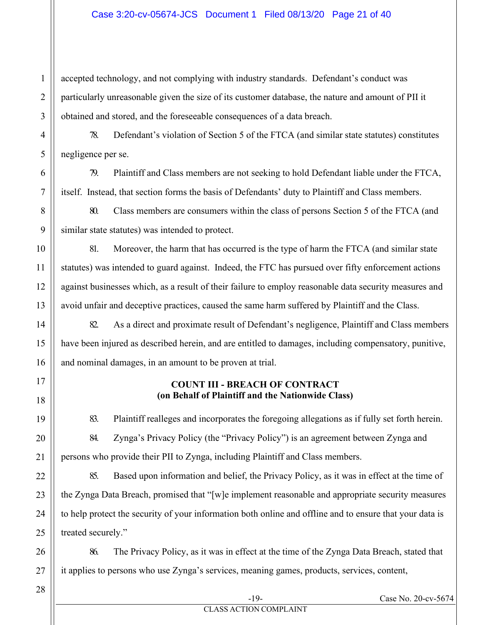#### Case 3:20-cv-05674-JCS Document 1 Filed 08/13/20 Page 21 of 40

accepted technology, and not complying with industry standards. Defendant's conduct was particularly unreasonable given the size of its customer database, the nature and amount of PII it obtained and stored, and the foreseeable consequences of a data breach.

78. Defendant's violation of Section 5 of the FTCA (and similar state statutes) constitutes negligence per se.

79. Plaintiff and Class members are not seeking to hold Defendant liable under the FTCA, itself. Instead, that section forms the basis of Defendants' duty to Plaintiff and Class members.

80. Class members are consumers within the class of persons Section 5 of the FTCA (and similar state statutes) was intended to protect.

81. Moreover, the harm that has occurred is the type of harm the FTCA (and similar state statutes) was intended to guard against. Indeed, the FTC has pursued over fifty enforcement actions against businesses which, as a result of their failure to employ reasonable data security measures and avoid unfair and deceptive practices, caused the same harm suffered by Plaintiff and the Class.

82. As a direct and proximate result of Defendant's negligence, Plaintiff and Class members have been injured as described herein, and are entitled to damages, including compensatory, punitive, and nominal damages, in an amount to be proven at trial.

#### **COUNT III - BREACH OF CONTRACT (on Behalf of Plaintiff and the Nationwide Class)**

83. Plaintiff realleges and incorporates the foregoing allegations as if fully set forth herein. 84. Zynga's Privacy Policy (the "Privacy Policy") is an agreement between Zynga and persons who provide their PII to Zynga, including Plaintiff and Class members.

85. Based upon information and belief, the Privacy Policy, as it was in effect at the time of the Zynga Data Breach, promised that "[w]e implement reasonable and appropriate security measures to help protect the security of your information both online and offline and to ensure that your data is treated securely."

86. The Privacy Policy, as it was in effect at the time of the Zynga Data Breach, stated that it applies to persons who use Zynga's services, meaning games, products, services, content,

28

1

2

3

4

5

6

7

8

9

10

11

12

13

14

15

16

17

18

19

20

21

22

23

24

25

26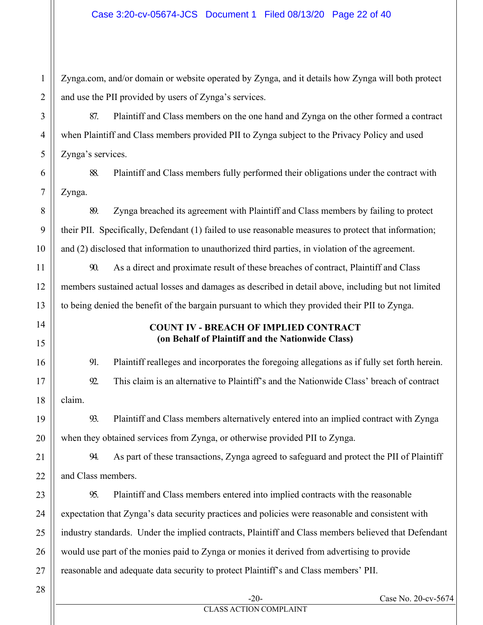Zynga.com, and/or domain or website operated by Zynga, and it details how Zynga will both protect and use the PII provided by users of Zynga's services.

87. Plaintiff and Class members on the one hand and Zynga on the other formed a contract when Plaintiff and Class members provided PII to Zynga subject to the Privacy Policy and used Zynga's services.

88. Plaintiff and Class members fully performed their obligations under the contract with Zynga.

89. Zynga breached its agreement with Plaintiff and Class members by failing to protect their PII. Specifically, Defendant (1) failed to use reasonable measures to protect that information; and (2) disclosed that information to unauthorized third parties, in violation of the agreement.

90. As a direct and proximate result of these breaches of contract, Plaintiff and Class members sustained actual losses and damages as described in detail above, including but not limited to being denied the benefit of the bargain pursuant to which they provided their PII to Zynga.

### **COUNT IV - BREACH OF IMPLIED CONTRACT (on Behalf of Plaintiff and the Nationwide Class)**

91. Plaintiff realleges and incorporates the foregoing allegations as if fully set forth herein. 92. This claim is an alternative to Plaintiff's and the Nationwide Class' breach of contract claim.

93. Plaintiff and Class members alternatively entered into an implied contract with Zynga when they obtained services from Zynga, or otherwise provided PII to Zynga.

94. As part of these transactions, Zynga agreed to safeguard and protect the PII of Plaintiff and Class members.

95. Plaintiff and Class members entered into implied contracts with the reasonable expectation that Zynga's data security practices and policies were reasonable and consistent with industry standards. Under the implied contracts, Plaintiff and Class members believed that Defendant would use part of the monies paid to Zynga or monies it derived from advertising to provide reasonable and adequate data security to protect Plaintiff's and Class members' PII.

# 21 22 23 24 25 26 27 28

1

2

3

4

5

6

7

8

9

10

11

12

13

14

15

16

17

18

19

20

-20- Case No. 20-cv-5674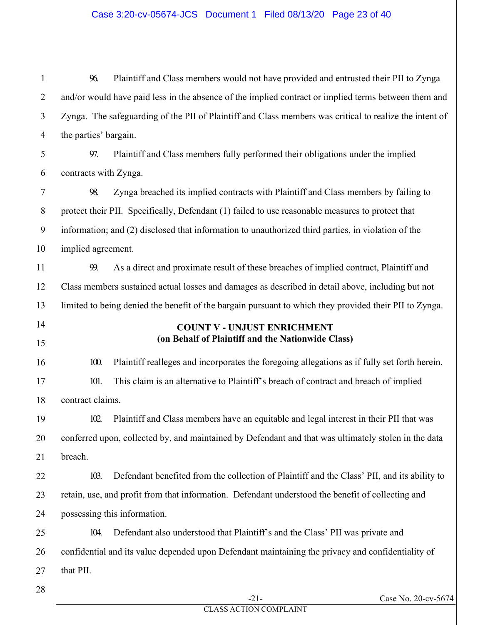96. Plaintiff and Class members would not have provided and entrusted their PII to Zynga and/or would have paid less in the absence of the implied contract or implied terms between them and Zynga. The safeguarding of the PII of Plaintiff and Class members was critical to realize the intent of the parties' bargain.

97. Plaintiff and Class members fully performed their obligations under the implied contracts with Zynga.

98. Zynga breached its implied contracts with Plaintiff and Class members by failing to protect their PII. Specifically, Defendant (1) failed to use reasonable measures to protect that information; and (2) disclosed that information to unauthorized third parties, in violation of the implied agreement.

99. As a direct and proximate result of these breaches of implied contract, Plaintiff and Class members sustained actual losses and damages as described in detail above, including but not limited to being denied the benefit of the bargain pursuant to which they provided their PII to Zynga.

#### **COUNT V - UNJUST ENRICHMENT (on Behalf of Plaintiff and the Nationwide Class)**

100. Plaintiff realleges and incorporates the foregoing allegations as if fully set forth herein. 101. This claim is an alternative to Plaintiff's breach of contract and breach of implied contract claims.

102. Plaintiff and Class members have an equitable and legal interest in their PII that was conferred upon, collected by, and maintained by Defendant and that was ultimately stolen in the data breach.

103. Defendant benefited from the collection of Plaintiff and the Class' PII, and its ability to retain, use, and profit from that information. Defendant understood the benefit of collecting and possessing this information.

104. Defendant also understood that Plaintiff's and the Class' PII was private and confidential and its value depended upon Defendant maintaining the privacy and confidentiality of that PII.

28

1

2

3

4

5

6

7

8

9

10

11

12

13

14

15

16

17

18

19

20

21

22

23

24

25

26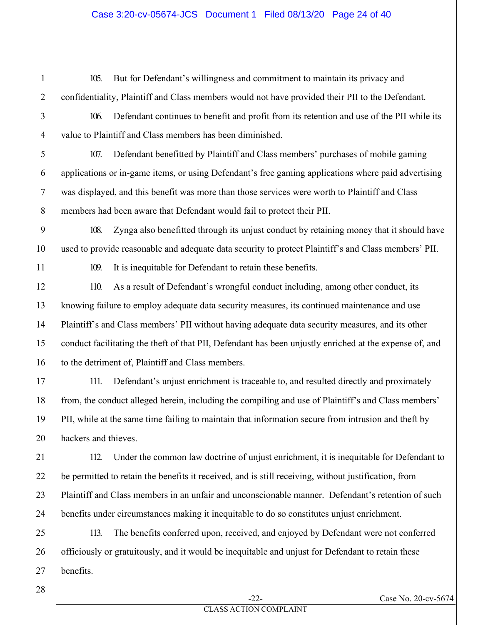1

2

3

4

5

6

7

8

9

10

11

12

13

14

15

16

17

18

19

20

21

22

105. But for Defendant's willingness and commitment to maintain its privacy and confidentiality, Plaintiff and Class members would not have provided their PII to the Defendant.

106. Defendant continues to benefit and profit from its retention and use of the PII while its value to Plaintiff and Class members has been diminished.

107. Defendant benefitted by Plaintiff and Class members' purchases of mobile gaming applications or in-game items, or using Defendant's free gaming applications where paid advertising was displayed, and this benefit was more than those services were worth to Plaintiff and Class members had been aware that Defendant would fail to protect their PII.

108. Zynga also benefitted through its unjust conduct by retaining money that it should have used to provide reasonable and adequate data security to protect Plaintiff's and Class members' PII.

109. It is inequitable for Defendant to retain these benefits.

110. As a result of Defendant's wrongful conduct including, among other conduct, its knowing failure to employ adequate data security measures, its continued maintenance and use Plaintiff's and Class members' PII without having adequate data security measures, and its other conduct facilitating the theft of that PII, Defendant has been unjustly enriched at the expense of, and to the detriment of, Plaintiff and Class members.

111. Defendant's unjust enrichment is traceable to, and resulted directly and proximately from, the conduct alleged herein, including the compiling and use of Plaintiff's and Class members' PII, while at the same time failing to maintain that information secure from intrusion and theft by hackers and thieves.

112. Under the common law doctrine of unjust enrichment, it is inequitable for Defendant to be permitted to retain the benefits it received, and is still receiving, without justification, from Plaintiff and Class members in an unfair and unconscionable manner. Defendant's retention of such benefits under circumstances making it inequitable to do so constitutes unjust enrichment.

113. The benefits conferred upon, received, and enjoyed by Defendant were not conferred officiously or gratuitously, and it would be inequitable and unjust for Defendant to retain these benefits.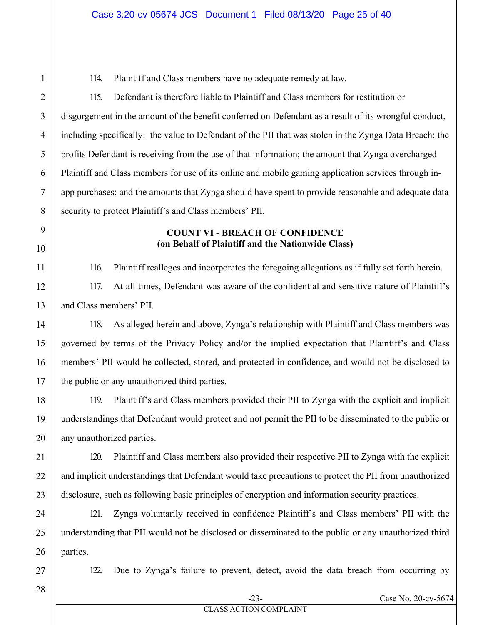114. Plaintiff and Class members have no adequate remedy at law.

115. Defendant is therefore liable to Plaintiff and Class members for restitution or disgorgement in the amount of the benefit conferred on Defendant as a result of its wrongful conduct, including specifically: the value to Defendant of the PII that was stolen in the Zynga Data Breach; the profits Defendant is receiving from the use of that information; the amount that Zynga overcharged Plaintiff and Class members for use of its online and mobile gaming application services through inapp purchases; and the amounts that Zynga should have spent to provide reasonable and adequate data security to protect Plaintiff's and Class members' PII.

### **COUNT VI - BREACH OF CONFIDENCE (on Behalf of Plaintiff and the Nationwide Class)**

116. Plaintiff realleges and incorporates the foregoing allegations as if fully set forth herein.

117. At all times, Defendant was aware of the confidential and sensitive nature of Plaintiff's and Class members' PII.

118. As alleged herein and above, Zynga's relationship with Plaintiff and Class members was governed by terms of the Privacy Policy and/or the implied expectation that Plaintiff's and Class members' PII would be collected, stored, and protected in confidence, and would not be disclosed to the public or any unauthorized third parties.

119. Plaintiff's and Class members provided their PII to Zynga with the explicit and implicit understandings that Defendant would protect and not permit the PII to be disseminated to the public or any unauthorized parties.

120. Plaintiff and Class members also provided their respective PII to Zynga with the explicit and implicit understandings that Defendant would take precautions to protect the PII from unauthorized disclosure, such as following basic principles of encryption and information security practices.

121. Zynga voluntarily received in confidence Plaintiff's and Class members' PII with the understanding that PII would not be disclosed or disseminated to the public or any unauthorized third parties.

122. Due to Zynga's failure to prevent, detect, avoid the data breach from occurring by

28

1

2

3

4

5

6

7

8

9

10

11

12

13

14

15

16

17

18

19

20

21

22

23

24

25

26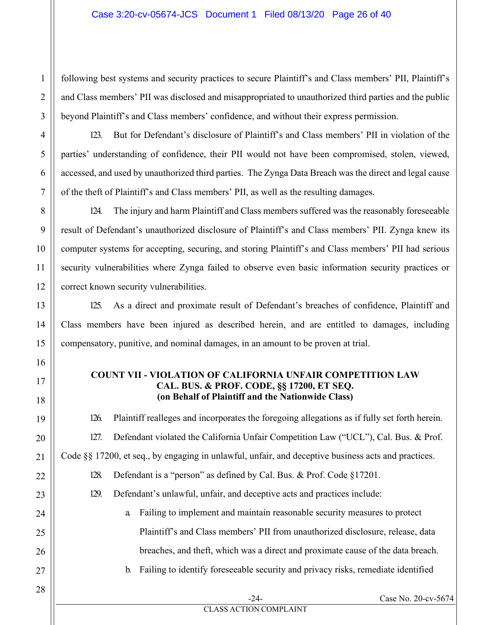#### Case 3:20-cv-05674-JCS Document 1 Filed 08/13/20 Page 26 of 40

following best systems and security practices to secure Plaintiff's and Class members' PII, Plaintiff's and Class members' PII was disclosed and misappropriated to unauthorized third parties and the public beyond Plaintiff's and Class members' confidence, and without their express permission.

123. But for Defendant's disclosure of Plaintiff's and Class members' PII in violation of the parties' understanding of confidence, their PII would not have been compromised, stolen, viewed, accessed, and used by unauthorized third parties. The Zynga Data Breach was the direct and legal cause of the theft of Plaintiff's and Class members' PII, as well as the resulting damages.

124. The injury and harm Plaintiff and Class members suffered was the reasonably foreseeable result of Defendant's unauthorized disclosure of Plaintiff's and Class members' PII. Zynga knew its computer systems for accepting, securing, and storing Plaintiff's and Class members' PII had serious security vulnerabilities where Zynga failed to observe even basic information security practices or correct known security vulnerabilities.

125. As a direct and proximate result of Defendant's breaches of confidence, Plaintiff and Class members have been injured as described herein, and are entitled to damages, including compensatory, punitive, and nominal damages, in an amount to be proven at trial.

#### **COUNT VII - VIOLATION OF CALIFORNIA UNFAIR COMPETITION LAW CAL. BUS. & PROF. CODE, §§ 17200, ET SEQ. (on Behalf of Plaintiff and the Nationwide Class)**

126. Plaintiff realleges and incorporates the foregoing allegations as if fully set forth herein. 127. Defendant violated the California Unfair Competition Law ("UCL"), Cal. Bus. & Prof. Code §§ 17200, et seq., by engaging in unlawful, unfair, and deceptive business acts and practices.

- 128. Defendant is a "person" as defined by Cal. Bus. & Prof. Code §17201.
	- 129. Defendant's unlawful, unfair, and deceptive acts and practices include:
		- a. Failing to implement and maintain reasonable security measures to protect Plaintiff's and Class members' PII from unauthorized disclosure, release, data breaches, and theft, which was a direct and proximate cause of the data breach.
			- b. Failing to identify foreseeable security and privacy risks, remediate identified

1

2

3

4

5

6

7

8

9

10

11

12

13

14

15

16

17

18

19

20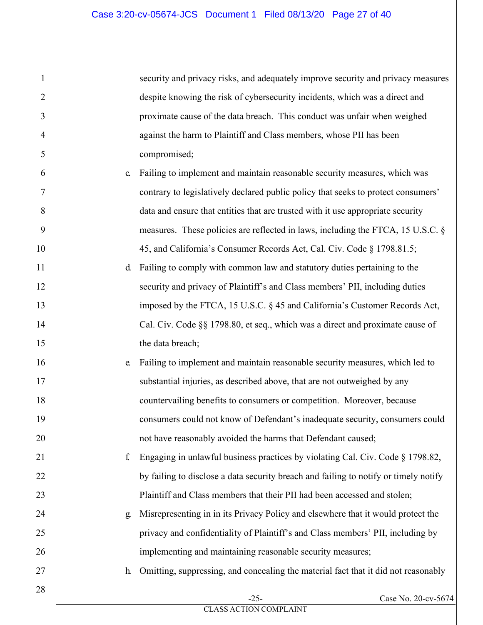security and privacy risks, and adequately improve security and privacy measures despite knowing the risk of cybersecurity incidents, which was a direct and proximate cause of the data breach. This conduct was unfair when weighed against the harm to Plaintiff and Class members, whose PII has been compromised;

- c. Failing to implement and maintain reasonable security measures, which was contrary to legislatively declared public policy that seeks to protect consumers' data and ensure that entities that are trusted with it use appropriate security measures. These policies are reflected in laws, including the FTCA, 15 U.S.C. § 45, and California's Consumer Records Act, Cal. Civ. Code § 1798.81.5;
- d. Failing to comply with common law and statutory duties pertaining to the security and privacy of Plaintiff's and Class members' PII, including duties imposed by the FTCA, 15 U.S.C. § 45 and California's Customer Records Act, Cal. Civ. Code §§ 1798.80, et seq., which was a direct and proximate cause of the data breach;
- e. Failing to implement and maintain reasonable security measures, which led to substantial injuries, as described above, that are not outweighed by any countervailing benefits to consumers or competition. Moreover, because consumers could not know of Defendant's inadequate security, consumers could not have reasonably avoided the harms that Defendant caused;
- f. Engaging in unlawful business practices by violating Cal. Civ. Code § 1798.82, by failing to disclose a data security breach and failing to notify or timely notify Plaintiff and Class members that their PII had been accessed and stolen;

g. Misrepresenting in in its Privacy Policy and elsewhere that it would protect the privacy and confidentiality of Plaintiff's and Class members' PII, including by implementing and maintaining reasonable security measures;

h. Omitting, suppressing, and concealing the material fact that it did not reasonably

1

2

3

4

5

6

7

8

9

10

11

12

13

14

15

16

17

18

19

20

21

22

23

24

25

26

27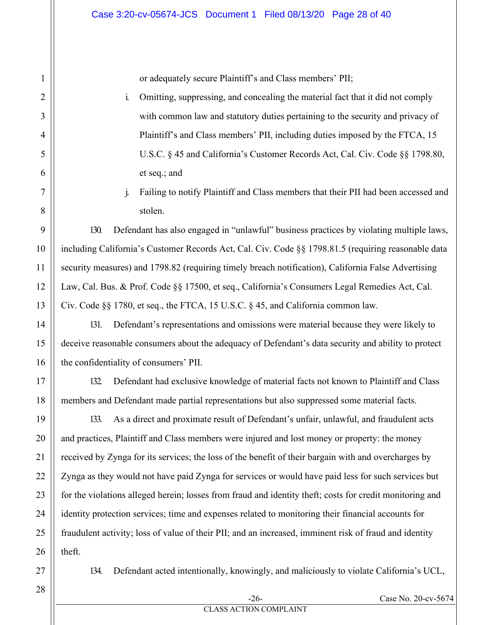or adequately secure Plaintiff's and Class members' PII;

- i. Omitting, suppressing, and concealing the material fact that it did not comply with common law and statutory duties pertaining to the security and privacy of Plaintiff's and Class members' PII, including duties imposed by the FTCA, 15 U.S.C. § 45 and California's Customer Records Act, Cal. Civ. Code §§ 1798.80, et seq.; and
- j. Failing to notify Plaintiff and Class members that their PII had been accessed and stolen.

130. Defendant has also engaged in "unlawful" business practices by violating multiple laws, including California's Customer Records Act, Cal. Civ. Code §§ 1798.81.5 (requiring reasonable data security measures) and 1798.82 (requiring timely breach notification), California False Advertising Law, Cal. Bus. & Prof. Code §§ 17500, et seq., California's Consumers Legal Remedies Act, Cal. Civ. Code §§ 1780, et seq., the FTCA, 15 U.S.C. § 45, and California common law.

131. Defendant's representations and omissions were material because they were likely to deceive reasonable consumers about the adequacy of Defendant's data security and ability to protect the confidentiality of consumers' PII.

132. Defendant had exclusive knowledge of material facts not known to Plaintiff and Class members and Defendant made partial representations but also suppressed some material facts.

133. As a direct and proximate result of Defendant's unfair, unlawful, and fraudulent acts and practices, Plaintiff and Class members were injured and lost money or property: the money received by Zynga for its services; the loss of the benefit of their bargain with and overcharges by Zynga as they would not have paid Zynga for services or would have paid less for such services but for the violations alleged herein; losses from fraud and identity theft; costs for credit monitoring and identity protection services; time and expenses related to monitoring their financial accounts for fraudulent activity; loss of value of their PII; and an increased, imminent risk of fraud and identity theft.

27

134. Defendant acted intentionally, knowingly, and maliciously to violate California's UCL,

28

1

2

3

4

5

6

7

8

9

10

11

12

13

14

15

16

17

18

19

20

21

22

23

24

25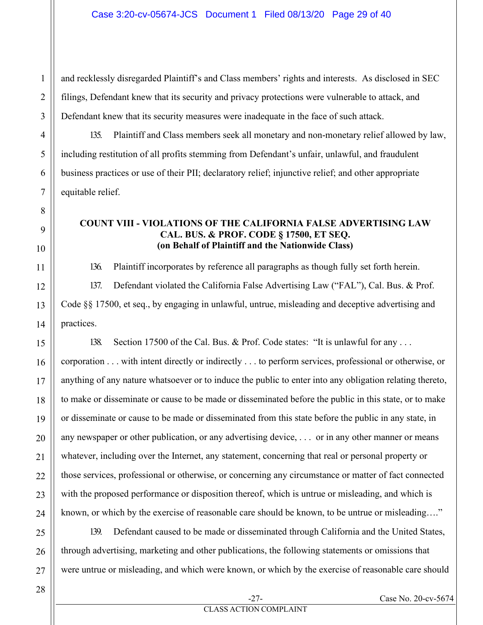and recklessly disregarded Plaintiff's and Class members' rights and interests. As disclosed in SEC filings, Defendant knew that its security and privacy protections were vulnerable to attack, and Defendant knew that its security measures were inadequate in the face of such attack.

135. Plaintiff and Class members seek all monetary and non-monetary relief allowed by law, including restitution of all profits stemming from Defendant's unfair, unlawful, and fraudulent business practices or use of their PII; declaratory relief; injunctive relief; and other appropriate equitable relief.

#### **COUNT VIII - VIOLATIONS OF THE CALIFORNIA FALSE ADVERTISING LAW CAL. BUS. & PROF. CODE § 17500, ET SEQ. (on Behalf of Plaintiff and the Nationwide Class)**

136. Plaintiff incorporates by reference all paragraphs as though fully set forth herein.

137. Defendant violated the California False Advertising Law ("FAL"), Cal. Bus. & Prof. Code §§ 17500, et seq., by engaging in unlawful, untrue, misleading and deceptive advertising and practices.

138. Section 17500 of the Cal. Bus. & Prof. Code states: "It is unlawful for any ...

corporation . . . with intent directly or indirectly . . . to perform services, professional or otherwise, or anything of any nature whatsoever or to induce the public to enter into any obligation relating thereto, to make or disseminate or cause to be made or disseminated before the public in this state, or to make or disseminate or cause to be made or disseminated from this state before the public in any state, in any newspaper or other publication, or any advertising device, . . . or in any other manner or means whatever, including over the Internet, any statement, concerning that real or personal property or those services, professional or otherwise, or concerning any circumstance or matter of fact connected with the proposed performance or disposition thereof, which is untrue or misleading, and which is known, or which by the exercise of reasonable care should be known, to be untrue or misleading…."

139. Defendant caused to be made or disseminated through California and the United States, through advertising, marketing and other publications, the following statements or omissions that were untrue or misleading, and which were known, or which by the exercise of reasonable care should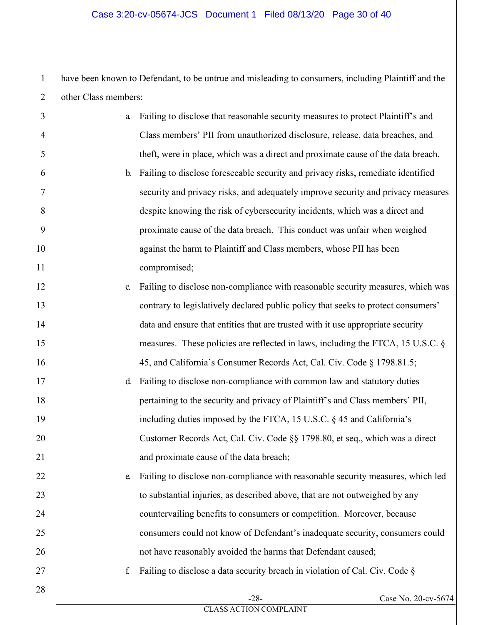have been known to Defendant, to be untrue and misleading to consumers, including Plaintiff and the other Class members:

1

| 3              | a              | Failing to disclose that reasonable security measures to protect Plaintiff's and   |                     |
|----------------|----------------|------------------------------------------------------------------------------------|---------------------|
| $\overline{4}$ |                | Class members' PII from unauthorized disclosure, release, data breaches, and       |                     |
| 5              |                | theft, were in place, which was a direct and proximate cause of the data breach.   |                     |
| 6              | $\mathbf{b}$ . | Failing to disclose foreseeable security and privacy risks, remediate identified   |                     |
| 7              |                | security and privacy risks, and adequately improve security and privacy measures   |                     |
| 8              |                | despite knowing the risk of cybersecurity incidents, which was a direct and        |                     |
| 9              |                | proximate cause of the data breach. This conduct was unfair when weighed           |                     |
| 10             |                | against the harm to Plaintiff and Class members, whose PII has been                |                     |
| 11             |                | compromised;                                                                       |                     |
| 12             | $\mathbf{C}$   | Failing to disclose non-compliance with reasonable security measures, which was    |                     |
| 13             |                | contrary to legislatively declared public policy that seeks to protect consumers'  |                     |
| 14             |                | data and ensure that entities that are trusted with it use appropriate security    |                     |
| 15             |                | measures. These policies are reflected in laws, including the FTCA, 15 U.S.C. $\S$ |                     |
| 16             |                | 45, and California's Consumer Records Act, Cal. Civ. Code § 1798.81.5;             |                     |
| 17             | <sub>d</sub>   | Failing to disclose non-compliance with common law and statutory duties            |                     |
| 18             |                | pertaining to the security and privacy of Plaintiff's and Class members' PII,      |                     |
| 19             |                | including duties imposed by the FTCA, 15 U.S.C. § 45 and California's              |                     |
| 20             |                | Customer Records Act, Cal. Civ. Code §§ 1798.80, et seq., which was a direct       |                     |
| 21             |                | and proximate cause of the data breach;                                            |                     |
| 22             | e.             | Failing to disclose non-compliance with reasonable security measures, which led    |                     |
| 23             |                | to substantial injuries, as described above, that are not outweighed by any        |                     |
| 24             |                | countervailing benefits to consumers or competition. Moreover, because             |                     |
| 25             |                | consumers could not know of Defendant's inadequate security, consumers could       |                     |
| 26             |                | not have reasonably avoided the harms that Defendant caused;                       |                     |
| 27             | f              | Failing to disclose a data security breach in violation of Cal. Civ. Code §        |                     |
| 28             |                | $-28-$                                                                             | Case No. 20-cv-5674 |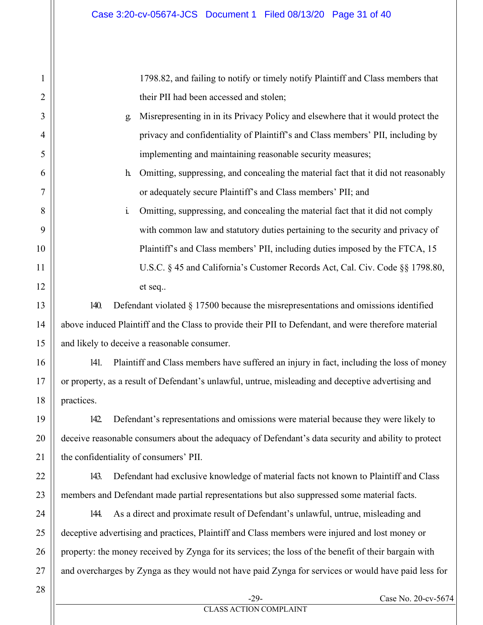1798.82, and failing to notify or timely notify Plaintiff and Class members that their PII had been accessed and stolen;

- g. Misrepresenting in in its Privacy Policy and elsewhere that it would protect the privacy and confidentiality of Plaintiff's and Class members' PII, including by implementing and maintaining reasonable security measures;
	- h. Omitting, suppressing, and concealing the material fact that it did not reasonably or adequately secure Plaintiff's and Class members' PII; and
	- i. Omitting, suppressing, and concealing the material fact that it did not comply with common law and statutory duties pertaining to the security and privacy of Plaintiff's and Class members' PII, including duties imposed by the FTCA, 15 U.S.C. § 45 and California's Customer Records Act, Cal. Civ. Code §§ 1798.80, et seq..

140. Defendant violated § 17500 because the misrepresentations and omissions identified above induced Plaintiff and the Class to provide their PII to Defendant, and were therefore material and likely to deceive a reasonable consumer.

141. Plaintiff and Class members have suffered an injury in fact, including the loss of money or property, as a result of Defendant's unlawful, untrue, misleading and deceptive advertising and practices.

142. Defendant's representations and omissions were material because they were likely to deceive reasonable consumers about the adequacy of Defendant's data security and ability to protect the confidentiality of consumers' PII.

143. Defendant had exclusive knowledge of material facts not known to Plaintiff and Class members and Defendant made partial representations but also suppressed some material facts.

144. As a direct and proximate result of Defendant's unlawful, untrue, misleading and deceptive advertising and practices, Plaintiff and Class members were injured and lost money or property: the money received by Zynga for its services; the loss of the benefit of their bargain with and overcharges by Zynga as they would not have paid Zynga for services or would have paid less for

1

2

3

4

5

6

7

8

9

10

11

12

13

14

15

16

17

18

19

20

21

22

23

24

25

26

27

Case No. 20-cv-5674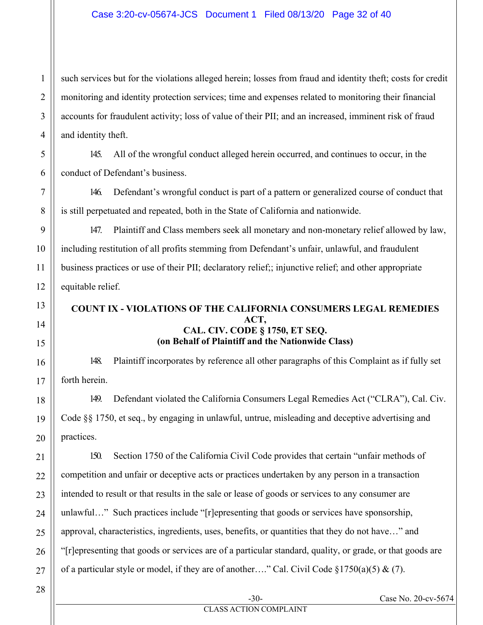#### Case 3:20-cv-05674-JCS Document 1 Filed 08/13/20 Page 32 of 40

such services but for the violations alleged herein; losses from fraud and identity theft; costs for credit monitoring and identity protection services; time and expenses related to monitoring their financial accounts for fraudulent activity; loss of value of their PII; and an increased, imminent risk of fraud and identity theft.

145. All of the wrongful conduct alleged herein occurred, and continues to occur, in the conduct of Defendant's business.

146. Defendant's wrongful conduct is part of a pattern or generalized course of conduct that is still perpetuated and repeated, both in the State of California and nationwide.

147. Plaintiff and Class members seek all monetary and non-monetary relief allowed by law, including restitution of all profits stemming from Defendant's unfair, unlawful, and fraudulent business practices or use of their PII; declaratory relief;; injunctive relief; and other appropriate equitable relief.

#### **COUNT IX - VIOLATIONS OF THE CALIFORNIA CONSUMERS LEGAL REMEDIES ACT, CAL. CIV. CODE § 1750, ET SEQ. (on Behalf of Plaintiff and the Nationwide Class)**

148. Plaintiff incorporates by reference all other paragraphs of this Complaint as if fully set forth herein.

149. Defendant violated the California Consumers Legal Remedies Act ("CLRA"), Cal. Civ. Code §§ 1750, et seq., by engaging in unlawful, untrue, misleading and deceptive advertising and practices.

150. Section 1750 of the California Civil Code provides that certain "unfair methods of competition and unfair or deceptive acts or practices undertaken by any person in a transaction intended to result or that results in the sale or lease of goods or services to any consumer are unlawful…" Such practices include "[r]epresenting that goods or services have sponsorship, approval, characteristics, ingredients, uses, benefits, or quantities that they do not have…" and "[r]epresenting that goods or services are of a particular standard, quality, or grade, or that goods are of a particular style or model, if they are of another…." Cal. Civil Code  $\S 1750(a)(5) \& (7)$ .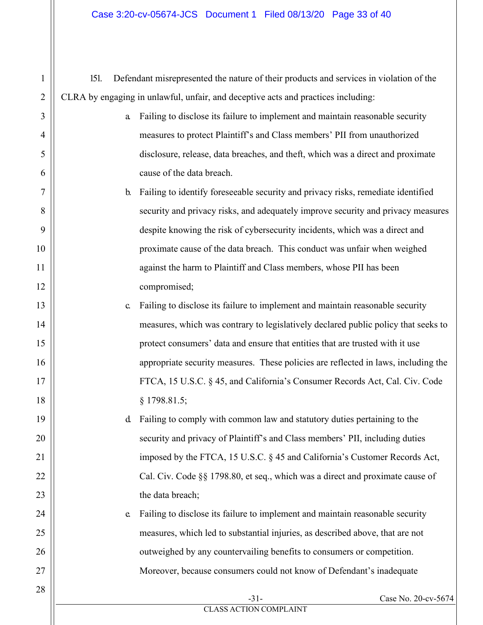151. Defendant misrepresented the nature of their products and services in violation of the CLRA by engaging in unlawful, unfair, and deceptive acts and practices including:

- a. Failing to disclose its failure to implement and maintain reasonable security measures to protect Plaintiff's and Class members' PII from unauthorized disclosure, release, data breaches, and theft, which was a direct and proximate cause of the data breach.
- b. Failing to identify foreseeable security and privacy risks, remediate identified security and privacy risks, and adequately improve security and privacy measures despite knowing the risk of cybersecurity incidents, which was a direct and proximate cause of the data breach. This conduct was unfair when weighed against the harm to Plaintiff and Class members, whose PII has been compromised;
	- c. Failing to disclose its failure to implement and maintain reasonable security measures, which was contrary to legislatively declared public policy that seeks to protect consumers' data and ensure that entities that are trusted with it use appropriate security measures. These policies are reflected in laws, including the FTCA, 15 U.S.C. § 45, and California's Consumer Records Act, Cal. Civ. Code § 1798.81.5;

d. Failing to comply with common law and statutory duties pertaining to the security and privacy of Plaintiff's and Class members' PII, including duties imposed by the FTCA, 15 U.S.C. § 45 and California's Customer Records Act, Cal. Civ. Code §§ 1798.80, et seq., which was a direct and proximate cause of the data breach;

e. Failing to disclose its failure to implement and maintain reasonable security measures, which led to substantial injuries, as described above, that are not outweighed by any countervailing benefits to consumers or competition. Moreover, because consumers could not know of Defendant's inadequate

1

2

3

4

5

6

7

8

9

10

11

12

13

14

15

16

17

18

19

20

21

22

23

24

25

26

27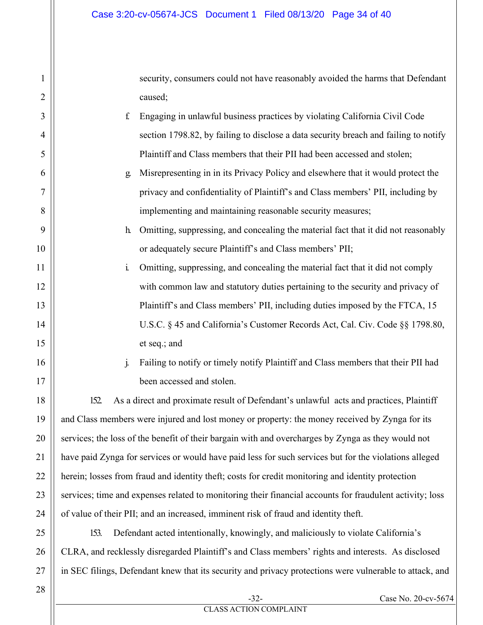security, consumers could not have reasonably avoided the harms that Defendant caused;

- f. Engaging in unlawful business practices by violating California Civil Code section 1798.82, by failing to disclose a data security breach and failing to notify Plaintiff and Class members that their PII had been accessed and stolen;
	- g. Misrepresenting in in its Privacy Policy and elsewhere that it would protect the privacy and confidentiality of Plaintiff's and Class members' PII, including by implementing and maintaining reasonable security measures;
	- h. Omitting, suppressing, and concealing the material fact that it did not reasonably or adequately secure Plaintiff's and Class members' PII;
- i. Omitting, suppressing, and concealing the material fact that it did not comply with common law and statutory duties pertaining to the security and privacy of Plaintiff's and Class members' PII, including duties imposed by the FTCA, 15 U.S.C. § 45 and California's Customer Records Act, Cal. Civ. Code §§ 1798.80, et seq.; and
	- j. Failing to notify or timely notify Plaintiff and Class members that their PII had been accessed and stolen.

152. As a direct and proximate result of Defendant's unlawful acts and practices, Plaintiff and Class members were injured and lost money or property: the money received by Zynga for its services; the loss of the benefit of their bargain with and overcharges by Zynga as they would not have paid Zynga for services or would have paid less for such services but for the violations alleged herein; losses from fraud and identity theft; costs for credit monitoring and identity protection services; time and expenses related to monitoring their financial accounts for fraudulent activity; loss of value of their PII; and an increased, imminent risk of fraud and identity theft.

153. Defendant acted intentionally, knowingly, and maliciously to violate California's CLRA, and recklessly disregarded Plaintiff's and Class members' rights and interests. As disclosed in SEC filings, Defendant knew that its security and privacy protections were vulnerable to attack, and

28

1

2

3

4

5

6

7

8

9

10

11

12

13

14

15

16

17

18

19

20

21

22

23

24

25

26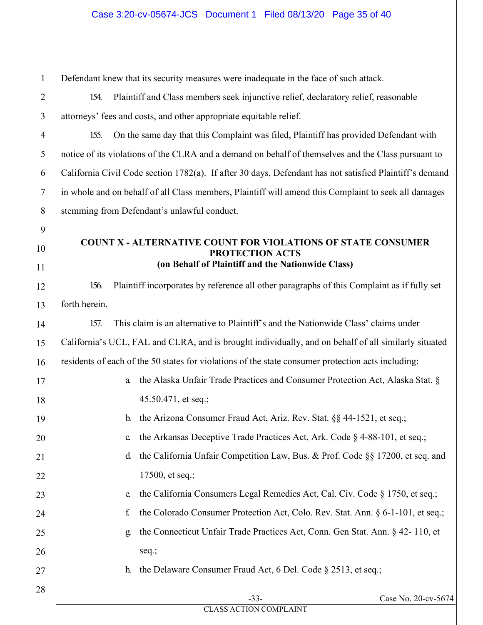Defendant knew that its security measures were inadequate in the face of such attack.

154. Plaintiff and Class members seek injunctive relief, declaratory relief, reasonable attorneys' fees and costs, and other appropriate equitable relief.

155. On the same day that this Complaint was filed, Plaintiff has provided Defendant with notice of its violations of the CLRA and a demand on behalf of themselves and the Class pursuant to California Civil Code section 1782(a). If after 30 days, Defendant has not satisfied Plaintiff's demand in whole and on behalf of all Class members, Plaintiff will amend this Complaint to seek all damages stemming from Defendant's unlawful conduct.

#### **COUNT X - ALTERNATIVE COUNT FOR VIOLATIONS OF STATE CONSUMER PROTECTION ACTS (on Behalf of Plaintiff and the Nationwide Class)**

156. Plaintiff incorporates by reference all other paragraphs of this Complaint as if fully set forth herein.

157. This claim is an alternative to Plaintiff's and the Nationwide Class' claims under California's UCL, FAL and CLRA, and is brought individually, and on behalf of all similarly situated residents of each of the 50 states for violations of the state consumer protection acts including:

- a. the Alaska Unfair Trade Practices and Consumer Protection Act, Alaska Stat. § 45.50.471, et seq.;
- b. the Arizona Consumer Fraud Act, Ariz. Rev. Stat. §§ 44-1521, et seq.;
- c. the Arkansas Deceptive Trade Practices Act, Ark. Code § 4-88-101, et seq.;
- d. the California Unfair Competition Law, Bus. & Prof. Code §§ 17200, et seq. and 17500, et seq.;
	- e. the California Consumers Legal Remedies Act, Cal. Civ. Code § 1750, et seq.;
	- f. the Colorado Consumer Protection Act, Colo. Rev. Stat. Ann. § 6-1-101, et seq.;
	- g. the Connecticut Unfair Trade Practices Act, Conn. Gen Stat. Ann. § 42- 110, et seq.;

h. the Delaware Consumer Fraud Act, 6 Del. Code § 2513, et seq.;

1

2

3

CLASS ACTION COMPLAINT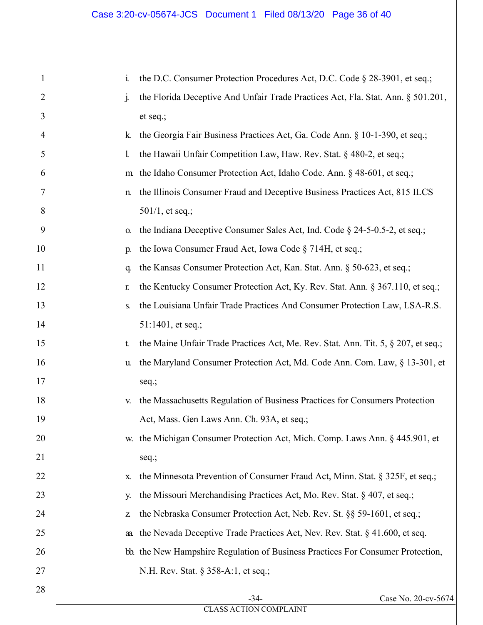| 1  | $\mathbf{i}$<br>the D.C. Consumer Protection Procedures Act, D.C. Code § 28-3901, et seq.;   |
|----|----------------------------------------------------------------------------------------------|
| 2  | j.<br>the Florida Deceptive And Unfair Trade Practices Act, Fla. Stat. Ann. § 501.201,       |
| 3  | et seq.;                                                                                     |
| 4  | the Georgia Fair Business Practices Act, Ga. Code Ann. § 10-1-390, et seq.;<br>k.            |
| 5  | the Hawaii Unfair Competition Law, Haw. Rev. Stat. § 480-2, et seq.;<br>l.                   |
| 6  | the Idaho Consumer Protection Act, Idaho Code. Ann. § 48-601, et seq.;<br>m.                 |
| 7  | the Illinois Consumer Fraud and Deceptive Business Practices Act, 815 ILCS<br>$\mathbf n$    |
| 8  | $501/1$ , et seq.;                                                                           |
| 9  | the Indiana Deceptive Consumer Sales Act, Ind. Code § 24-5-0.5-2, et seq.;<br>0.             |
| 10 | the Iowa Consumer Fraud Act, Iowa Code § 714H, et seq.;<br>p.                                |
| 11 | the Kansas Consumer Protection Act, Kan. Stat. Ann. § 50-623, et seq.;<br>q.                 |
| 12 | the Kentucky Consumer Protection Act, Ky. Rev. Stat. Ann. § 367.110, et seq.;<br>r.          |
| 13 | the Louisiana Unfair Trade Practices And Consumer Protection Law, LSA-R.S.<br>${\bf S}$      |
| 14 | $51:1401$ , et seq.;                                                                         |
| 15 | the Maine Unfair Trade Practices Act, Me. Rev. Stat. Ann. Tit. 5, § 207, et seq.;<br>t       |
| 16 | the Maryland Consumer Protection Act, Md. Code Ann. Com. Law, § 13-301, et<br>u              |
| 17 | seq.;                                                                                        |
| 18 | the Massachusetts Regulation of Business Practices for Consumers Protection<br>V.            |
| 19 | Act, Mass. Gen Laws Ann. Ch. 93A, et seq.;                                                   |
| 20 | the Michigan Consumer Protection Act, Mich. Comp. Laws Ann. § 445.901, et<br>W.              |
| 21 | seq.;                                                                                        |
| 22 | the Minnesota Prevention of Consumer Fraud Act, Minn. Stat. § 325F, et seq.;<br>$\mathbf{X}$ |
| 23 | the Missouri Merchandising Practices Act, Mo. Rev. Stat. § 407, et seq.;<br>у.               |
| 24 | the Nebraska Consumer Protection Act, Neb. Rev. St. §§ 59-1601, et seq.;<br>Z                |
| 25 | the Nevada Deceptive Trade Practices Act, Nev. Rev. Stat. § 41.600, et seq.<br>aa.           |
| 26 | bb. the New Hampshire Regulation of Business Practices For Consumer Protection,              |
| 27 | N.H. Rev. Stat. § 358-A:1, et seq.;                                                          |
| 28 | Case No. 20-cv-5674<br>$-34-$                                                                |
|    | <b>CLASS ACTION COMPLAINT</b>                                                                |
|    |                                                                                              |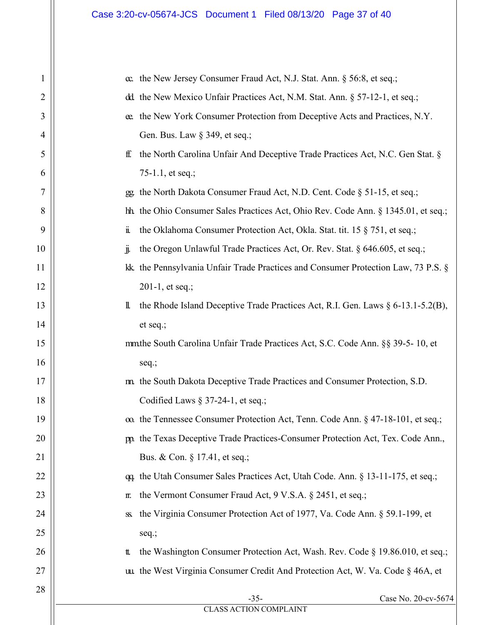| α the New Jersey Consumer Fraud Act, N.J. Stat. Ann. § 56:8, et seq.;<br>1<br>dd the New Mexico Unfair Practices Act, N.M. Stat. Ann. § 57-12-1, et seq.;<br>2<br>ee. the New York Consumer Protection from Deceptive Acts and Practices, N.Y.<br>3<br>Gen. Bus. Law § 349, et seq.;<br>4<br>the North Carolina Unfair And Deceptive Trade Practices Act, N.C. Gen Stat. §<br>5<br>ff.<br>75-1.1, et seq.;<br>6<br>the North Dakota Consumer Fraud Act, N.D. Cent. Code § 51-15, et seq.;<br>7<br>$99 -$<br>hh. the Ohio Consumer Sales Practices Act, Ohio Rev. Code Ann. § 1345.01, et seq.;<br>8<br>9<br>$\ddot{\mathbf{I}}$<br>the Oklahoma Consumer Protection Act, Okla. Stat. tit. 15 § 751, et seq.;<br>jj.<br>the Oregon Unlawful Trade Practices Act, Or. Rev. Stat. § 646.605, et seq.;<br>10<br>kk. the Pennsylvania Unfair Trade Practices and Consumer Protection Law, 73 P.S. §<br>11<br>12<br>201-1, et seq.;<br>the Rhode Island Deceptive Trade Practices Act, R.I. Gen. Laws § 6-13.1-5.2(B),<br>13<br>11.<br>14<br>et seq.;<br>mmthe South Carolina Unfair Trade Practices Act, S.C. Code Ann. §§ 39-5-10, et<br>15<br>16<br>seq.;<br>m. the South Dakota Deceptive Trade Practices and Consumer Protection, S.D.<br>17<br>Codified Laws $\S 37-24-1$ , et seq.;<br>18<br>19<br>α the Tennessee Consumer Protection Act, Tenn. Code Ann. § 47-18-101, et seq.;<br>pp. the Texas Deceptive Trade Practices-Consumer Protection Act, Tex. Code Ann.,<br>20<br>21<br>Bus. & Con. § 17.41, et seq.;<br>22<br>qq. the Utah Consumer Sales Practices Act, Utah Code. Ann. § 13-11-175, et seq.;<br>23<br>the Vermont Consumer Fraud Act, 9 V.S.A. § 2451, et seq.;<br>II.<br>the Virginia Consumer Protection Act of 1977, Va. Code Ann. § 59.1-199, et<br>24<br>SS.<br>25<br>seq.;<br>26<br>the Washington Consumer Protection Act, Wash. Rev. Code § 19.86.010, et seq.;<br>tt.<br>uu the West Virginia Consumer Credit And Protection Act, W. Va. Code § 46A, et<br>27<br>28<br>$-35-$<br>Case No. 20-cv-5674<br><b>CLASS ACTION COMPLAINT</b> |  |
|-----------------------------------------------------------------------------------------------------------------------------------------------------------------------------------------------------------------------------------------------------------------------------------------------------------------------------------------------------------------------------------------------------------------------------------------------------------------------------------------------------------------------------------------------------------------------------------------------------------------------------------------------------------------------------------------------------------------------------------------------------------------------------------------------------------------------------------------------------------------------------------------------------------------------------------------------------------------------------------------------------------------------------------------------------------------------------------------------------------------------------------------------------------------------------------------------------------------------------------------------------------------------------------------------------------------------------------------------------------------------------------------------------------------------------------------------------------------------------------------------------------------------------------------------------------------------------------------------------------------------------------------------------------------------------------------------------------------------------------------------------------------------------------------------------------------------------------------------------------------------------------------------------------------------------------------------------------------------------------------------------------------------------------------------------------------|--|
|                                                                                                                                                                                                                                                                                                                                                                                                                                                                                                                                                                                                                                                                                                                                                                                                                                                                                                                                                                                                                                                                                                                                                                                                                                                                                                                                                                                                                                                                                                                                                                                                                                                                                                                                                                                                                                                                                                                                                                                                                                                                 |  |
|                                                                                                                                                                                                                                                                                                                                                                                                                                                                                                                                                                                                                                                                                                                                                                                                                                                                                                                                                                                                                                                                                                                                                                                                                                                                                                                                                                                                                                                                                                                                                                                                                                                                                                                                                                                                                                                                                                                                                                                                                                                                 |  |
|                                                                                                                                                                                                                                                                                                                                                                                                                                                                                                                                                                                                                                                                                                                                                                                                                                                                                                                                                                                                                                                                                                                                                                                                                                                                                                                                                                                                                                                                                                                                                                                                                                                                                                                                                                                                                                                                                                                                                                                                                                                                 |  |
|                                                                                                                                                                                                                                                                                                                                                                                                                                                                                                                                                                                                                                                                                                                                                                                                                                                                                                                                                                                                                                                                                                                                                                                                                                                                                                                                                                                                                                                                                                                                                                                                                                                                                                                                                                                                                                                                                                                                                                                                                                                                 |  |
|                                                                                                                                                                                                                                                                                                                                                                                                                                                                                                                                                                                                                                                                                                                                                                                                                                                                                                                                                                                                                                                                                                                                                                                                                                                                                                                                                                                                                                                                                                                                                                                                                                                                                                                                                                                                                                                                                                                                                                                                                                                                 |  |
|                                                                                                                                                                                                                                                                                                                                                                                                                                                                                                                                                                                                                                                                                                                                                                                                                                                                                                                                                                                                                                                                                                                                                                                                                                                                                                                                                                                                                                                                                                                                                                                                                                                                                                                                                                                                                                                                                                                                                                                                                                                                 |  |
|                                                                                                                                                                                                                                                                                                                                                                                                                                                                                                                                                                                                                                                                                                                                                                                                                                                                                                                                                                                                                                                                                                                                                                                                                                                                                                                                                                                                                                                                                                                                                                                                                                                                                                                                                                                                                                                                                                                                                                                                                                                                 |  |
|                                                                                                                                                                                                                                                                                                                                                                                                                                                                                                                                                                                                                                                                                                                                                                                                                                                                                                                                                                                                                                                                                                                                                                                                                                                                                                                                                                                                                                                                                                                                                                                                                                                                                                                                                                                                                                                                                                                                                                                                                                                                 |  |
|                                                                                                                                                                                                                                                                                                                                                                                                                                                                                                                                                                                                                                                                                                                                                                                                                                                                                                                                                                                                                                                                                                                                                                                                                                                                                                                                                                                                                                                                                                                                                                                                                                                                                                                                                                                                                                                                                                                                                                                                                                                                 |  |
|                                                                                                                                                                                                                                                                                                                                                                                                                                                                                                                                                                                                                                                                                                                                                                                                                                                                                                                                                                                                                                                                                                                                                                                                                                                                                                                                                                                                                                                                                                                                                                                                                                                                                                                                                                                                                                                                                                                                                                                                                                                                 |  |
|                                                                                                                                                                                                                                                                                                                                                                                                                                                                                                                                                                                                                                                                                                                                                                                                                                                                                                                                                                                                                                                                                                                                                                                                                                                                                                                                                                                                                                                                                                                                                                                                                                                                                                                                                                                                                                                                                                                                                                                                                                                                 |  |
|                                                                                                                                                                                                                                                                                                                                                                                                                                                                                                                                                                                                                                                                                                                                                                                                                                                                                                                                                                                                                                                                                                                                                                                                                                                                                                                                                                                                                                                                                                                                                                                                                                                                                                                                                                                                                                                                                                                                                                                                                                                                 |  |
|                                                                                                                                                                                                                                                                                                                                                                                                                                                                                                                                                                                                                                                                                                                                                                                                                                                                                                                                                                                                                                                                                                                                                                                                                                                                                                                                                                                                                                                                                                                                                                                                                                                                                                                                                                                                                                                                                                                                                                                                                                                                 |  |
|                                                                                                                                                                                                                                                                                                                                                                                                                                                                                                                                                                                                                                                                                                                                                                                                                                                                                                                                                                                                                                                                                                                                                                                                                                                                                                                                                                                                                                                                                                                                                                                                                                                                                                                                                                                                                                                                                                                                                                                                                                                                 |  |
|                                                                                                                                                                                                                                                                                                                                                                                                                                                                                                                                                                                                                                                                                                                                                                                                                                                                                                                                                                                                                                                                                                                                                                                                                                                                                                                                                                                                                                                                                                                                                                                                                                                                                                                                                                                                                                                                                                                                                                                                                                                                 |  |
|                                                                                                                                                                                                                                                                                                                                                                                                                                                                                                                                                                                                                                                                                                                                                                                                                                                                                                                                                                                                                                                                                                                                                                                                                                                                                                                                                                                                                                                                                                                                                                                                                                                                                                                                                                                                                                                                                                                                                                                                                                                                 |  |
|                                                                                                                                                                                                                                                                                                                                                                                                                                                                                                                                                                                                                                                                                                                                                                                                                                                                                                                                                                                                                                                                                                                                                                                                                                                                                                                                                                                                                                                                                                                                                                                                                                                                                                                                                                                                                                                                                                                                                                                                                                                                 |  |
|                                                                                                                                                                                                                                                                                                                                                                                                                                                                                                                                                                                                                                                                                                                                                                                                                                                                                                                                                                                                                                                                                                                                                                                                                                                                                                                                                                                                                                                                                                                                                                                                                                                                                                                                                                                                                                                                                                                                                                                                                                                                 |  |
|                                                                                                                                                                                                                                                                                                                                                                                                                                                                                                                                                                                                                                                                                                                                                                                                                                                                                                                                                                                                                                                                                                                                                                                                                                                                                                                                                                                                                                                                                                                                                                                                                                                                                                                                                                                                                                                                                                                                                                                                                                                                 |  |
|                                                                                                                                                                                                                                                                                                                                                                                                                                                                                                                                                                                                                                                                                                                                                                                                                                                                                                                                                                                                                                                                                                                                                                                                                                                                                                                                                                                                                                                                                                                                                                                                                                                                                                                                                                                                                                                                                                                                                                                                                                                                 |  |
|                                                                                                                                                                                                                                                                                                                                                                                                                                                                                                                                                                                                                                                                                                                                                                                                                                                                                                                                                                                                                                                                                                                                                                                                                                                                                                                                                                                                                                                                                                                                                                                                                                                                                                                                                                                                                                                                                                                                                                                                                                                                 |  |
|                                                                                                                                                                                                                                                                                                                                                                                                                                                                                                                                                                                                                                                                                                                                                                                                                                                                                                                                                                                                                                                                                                                                                                                                                                                                                                                                                                                                                                                                                                                                                                                                                                                                                                                                                                                                                                                                                                                                                                                                                                                                 |  |
|                                                                                                                                                                                                                                                                                                                                                                                                                                                                                                                                                                                                                                                                                                                                                                                                                                                                                                                                                                                                                                                                                                                                                                                                                                                                                                                                                                                                                                                                                                                                                                                                                                                                                                                                                                                                                                                                                                                                                                                                                                                                 |  |
|                                                                                                                                                                                                                                                                                                                                                                                                                                                                                                                                                                                                                                                                                                                                                                                                                                                                                                                                                                                                                                                                                                                                                                                                                                                                                                                                                                                                                                                                                                                                                                                                                                                                                                                                                                                                                                                                                                                                                                                                                                                                 |  |
|                                                                                                                                                                                                                                                                                                                                                                                                                                                                                                                                                                                                                                                                                                                                                                                                                                                                                                                                                                                                                                                                                                                                                                                                                                                                                                                                                                                                                                                                                                                                                                                                                                                                                                                                                                                                                                                                                                                                                                                                                                                                 |  |
|                                                                                                                                                                                                                                                                                                                                                                                                                                                                                                                                                                                                                                                                                                                                                                                                                                                                                                                                                                                                                                                                                                                                                                                                                                                                                                                                                                                                                                                                                                                                                                                                                                                                                                                                                                                                                                                                                                                                                                                                                                                                 |  |
|                                                                                                                                                                                                                                                                                                                                                                                                                                                                                                                                                                                                                                                                                                                                                                                                                                                                                                                                                                                                                                                                                                                                                                                                                                                                                                                                                                                                                                                                                                                                                                                                                                                                                                                                                                                                                                                                                                                                                                                                                                                                 |  |
|                                                                                                                                                                                                                                                                                                                                                                                                                                                                                                                                                                                                                                                                                                                                                                                                                                                                                                                                                                                                                                                                                                                                                                                                                                                                                                                                                                                                                                                                                                                                                                                                                                                                                                                                                                                                                                                                                                                                                                                                                                                                 |  |
|                                                                                                                                                                                                                                                                                                                                                                                                                                                                                                                                                                                                                                                                                                                                                                                                                                                                                                                                                                                                                                                                                                                                                                                                                                                                                                                                                                                                                                                                                                                                                                                                                                                                                                                                                                                                                                                                                                                                                                                                                                                                 |  |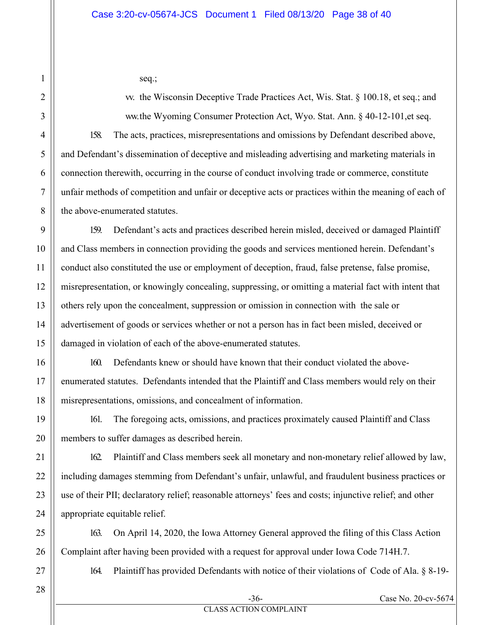seq.;

w. the Wisconsin Deceptive Trade Practices Act, Wis. Stat.  $\S$  100.18, et seq.; and ww.the Wyoming Consumer Protection Act, Wyo. Stat. Ann. § 40-12-101,et seq. 158. The acts, practices, misrepresentations and omissions by Defendant described above, and Defendant's dissemination of deceptive and misleading advertising and marketing materials in connection therewith, occurring in the course of conduct involving trade or commerce, constitute unfair methods of competition and unfair or deceptive acts or practices within the meaning of each of the above-enumerated statutes.

159. Defendant's acts and practices described herein misled, deceived or damaged Plaintiff and Class members in connection providing the goods and services mentioned herein. Defendant's conduct also constituted the use or employment of deception, fraud, false pretense, false promise, misrepresentation, or knowingly concealing, suppressing, or omitting a material fact with intent that others rely upon the concealment, suppression or omission in connection with the sale or advertisement of goods or services whether or not a person has in fact been misled, deceived or damaged in violation of each of the above-enumerated statutes.

160. Defendants knew or should have known that their conduct violated the aboveenumerated statutes. Defendants intended that the Plaintiff and Class members would rely on their misrepresentations, omissions, and concealment of information.

161. The foregoing acts, omissions, and practices proximately caused Plaintiff and Class members to suffer damages as described herein.

162. Plaintiff and Class members seek all monetary and non-monetary relief allowed by law, including damages stemming from Defendant's unfair, unlawful, and fraudulent business practices or use of their PII; declaratory relief; reasonable attorneys' fees and costs; injunctive relief; and other appropriate equitable relief.

163. On April 14, 2020, the Iowa Attorney General approved the filing of this Class Action Complaint after having been provided with a request for approval under Iowa Code 714H.7.

164. Plaintiff has provided Defendants with notice of their violations of Code of Ala. § 8-19-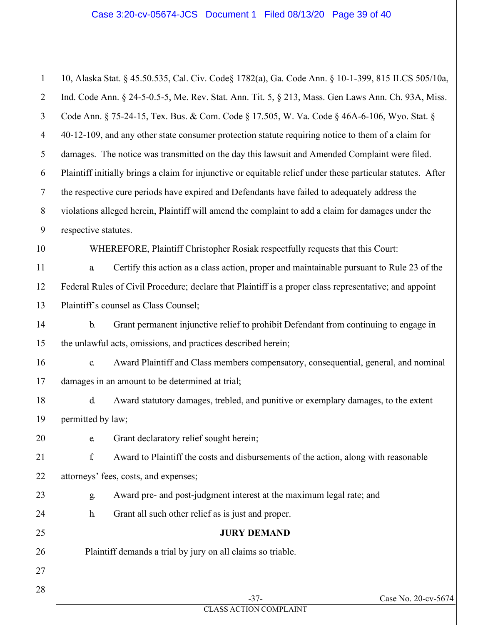10, Alaska Stat. § 45.50.535, Cal. Civ. Code§ 1782(a), Ga. Code Ann. § 10-1-399, 815 ILCS 505/10a, Ind. Code Ann. § 24-5-0.5-5, Me. Rev. Stat. Ann. Tit. 5, § 213, Mass. Gen Laws Ann. Ch. 93A, Miss. Code Ann. § 75-24-15, Tex. Bus. & Com. Code § 17.505, W. Va. Code § 46A-6-106, Wyo. Stat. § 40-12-109, and any other state consumer protection statute requiring notice to them of a claim for damages. The notice was transmitted on the day this lawsuit and Amended Complaint were filed. Plaintiff initially brings a claim for injunctive or equitable relief under these particular statutes. After the respective cure periods have expired and Defendants have failed to adequately address the violations alleged herein, Plaintiff will amend the complaint to add a claim for damages under the respective statutes. WHEREFORE, Plaintiff Christopher Rosiak respectfully requests that this Court: a. Certify this action as a class action, proper and maintainable pursuant to Rule 23 of the Federal Rules of Civil Procedure; declare that Plaintiff is a proper class representative; and appoint

Plaintiff's counsel as Class Counsel;

1

2

3

4

5

6

7

8

9

10

11

12

13

14

15

16

17

18

19

20

21

22

23

24

25

26

27

28

b. Grant permanent injunctive relief to prohibit Defendant from continuing to engage in the unlawful acts, omissions, and practices described herein;

c. Award Plaintiff and Class members compensatory, consequential, general, and nominal damages in an amount to be determined at trial;

d. Award statutory damages, trebled, and punitive or exemplary damages, to the extent permitted by law;

e. Grant declaratory relief sought herein;

f. Award to Plaintiff the costs and disbursements of the action, along with reasonable attorneys' fees, costs, and expenses;

g. Award pre- and post-judgment interest at the maximum legal rate; and

h. Grant all such other relief as is just and proper.

### **JURY DEMAND**

Plaintiff demands a trial by jury on all claims so triable.